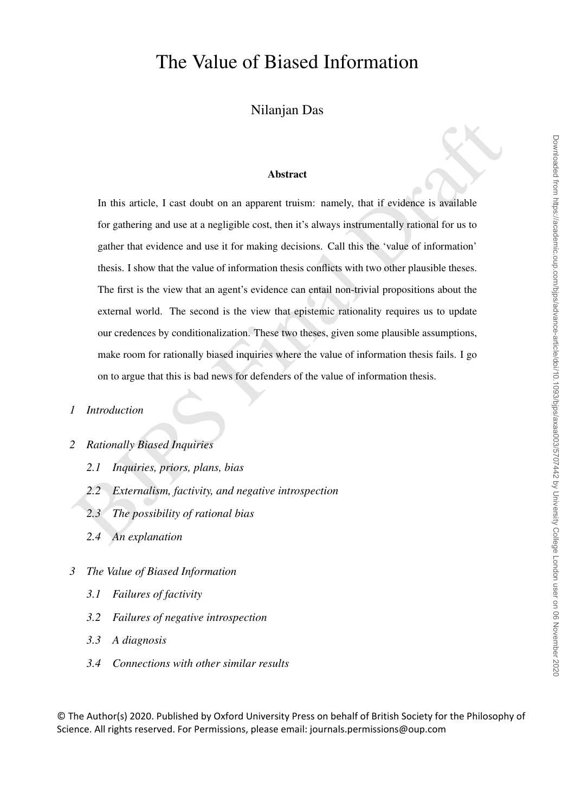# The Value of Biased Information

# Nilanjan Das

#### Abstract

**Abstract**<br>
In this article, I cast doubt on an apparent truism: namely, that if evidence is available<br>
for gathering and use at a negligible cost, then it's always instrumentally rational for us to<br>
gather that evidence a In this article, I cast doubt on an apparent truism: namely, that if evidence is available for gathering and use at a negligible cost, then it's always instrumentally rational for us to gather that evidence and use it for making decisions. Call this the 'value of information' thesis. I show that the value of information thesis conflicts with two other plausible theses. The first is the view that an agent's evidence can entail non-trivial propositions about the external world. The second is the view that epistemic rationality requires us to update our credences by conditionalization. These two theses, given some plausible assumptions, make room for rationally biased inquiries where the value of information thesis fails. I go on to argue that this is bad news for defenders of the value of information thesis.

#### *1 Introduction*

# *2 Rationally Biased Inquiries*

- *2.1 Inquiries, priors, plans, bias*
- *2.2 Externalism, factivity, and negative introspection*
- *2.3 The possibility of rational bias*
- *2.4 An explanation*
- *3 The Value of Biased Information*
	- *3.1 Failures of factivity*
	- *3.2 Failures of negative introspection*
	- *3.3 A diagnosis*
	- *3.4 Connections with other similar results*

© The Author(s) 2020. Published by Oxford University Press on behalf of British Society for the Philosophy of Science. All rights reserved. For Permissions, please email: journals.permissions@oup.com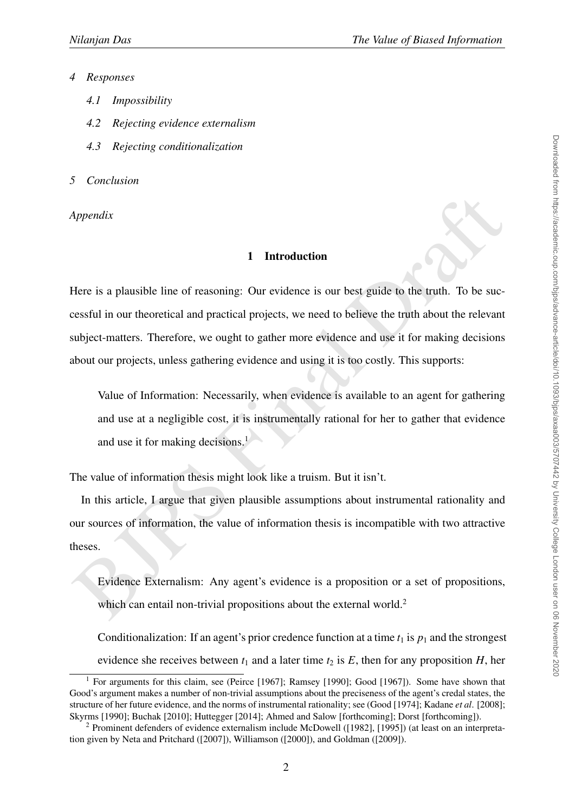# *4 Responses*

- *4.1 Impossibility*
- *4.2 Rejecting evidence externalism*
- *4.3 Rejecting conditionalization*
- *5 Conclusion*

*Appendix*

# 1 Introduction

Appendix<br>
1 Introduction<br>
1 Introduction<br>
1 Letter is a plausible line of reasoning: Our evidence is our best guide to the truth. To be suc-<br>
1 in our theoretical and practical projects, we need to believe the truth about Here is a plausible line of reasoning: Our evidence is our best guide to the truth. To be successful in our theoretical and practical projects, we need to believe the truth about the relevant subject-matters. Therefore, we ought to gather more evidence and use it for making decisions about our projects, unless gathering evidence and using it is too costly. This supports:

Value of Information: Necessarily, when evidence is available to an agent for gathering and use at a negligible cost, it is instrumentally rational for her to gather that evidence and use it for making decisions. $<sup>1</sup>$ </sup>

The value of information thesis might look like a truism. But it isn't.

In this article, I argue that given plausible assumptions about instrumental rationality and our sources of information, the value of information thesis is incompatible with two attractive theses.

Evidence Externalism: Any agent's evidence is a proposition or a set of propositions, which can entail non-trivial propositions about the external world.<sup>2</sup>

Conditionalization: If an agent's prior credence function at a time  $t_1$  is  $p_1$  and the strongest evidence she receives between  $t_1$  and a later time  $t_2$  is  $E$ , then for any proposition  $H$ , her

<sup>&</sup>lt;sup>1</sup> For arguments for this claim, see (Peirce [1967]; Ramsey [1990]; Good [1967]). Some have shown that Good's argument makes a number of non-trivial assumptions about the preciseness of the agent's credal states, the structure of her future evidence, and the norms of instrumental rationality; see (Good [1974]; Kadane *et al*. [2008]; Skyrms [1990]; Buchak [2010]; Huttegger [2014]; Ahmed and Salow [forthcoming]; Dorst [forthcoming]).

<sup>2</sup> Prominent defenders of evidence externalism include McDowell ([1982], [1995]) (at least on an interpretation given by Neta and Pritchard ([2007]), Williamson ([2000]), and Goldman ([2009]).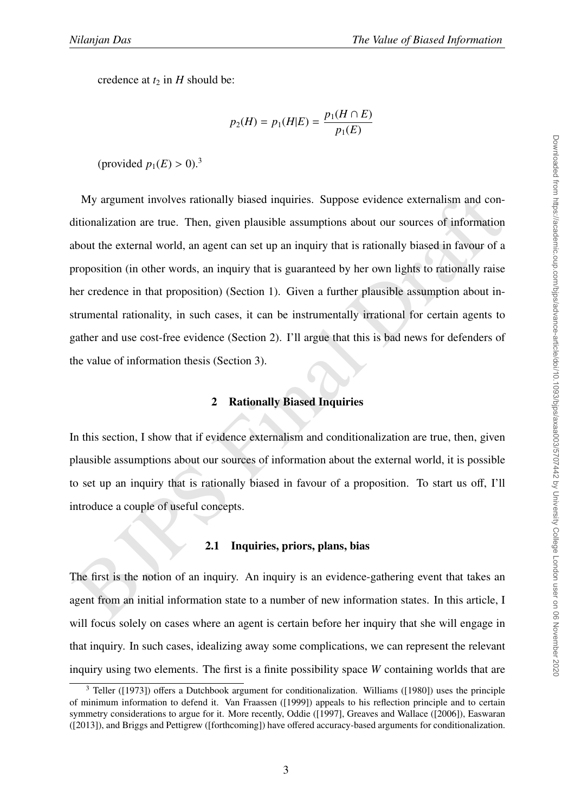credence at  $t_2$  in  $H$  should be:

$$
p_2(H) = p_1(H|E) = \frac{p_1(H \cap E)}{p_1(E)}
$$

(provided  $p_1(E) > 0$ ).<sup>3</sup>

My argument involves rationally biased inquiries. Suppose evidence externalism and con-<br>
ditionalization are true. Then, given plausible assumptions about our sources of information<br>
about the external world, an agent can My argument involves rationally biased inquiries. Suppose evidence externalism and conditionalization are true. Then, given plausible assumptions about our sources of information about the external world, an agent can set up an inquiry that is rationally biased in favour of a proposition (in other words, an inquiry that is guaranteed by her own lights to rationally raise her credence in that proposition) (Section 1). Given a further plausible assumption about instrumental rationality, in such cases, it can be instrumentally irrational for certain agents to gather and use cost-free evidence (Section 2). I'll argue that this is bad news for defenders of the value of information thesis (Section 3).

## 2 Rationally Biased Inquiries

In this section, I show that if evidence externalism and conditionalization are true, then, given plausible assumptions about our sources of information about the external world, it is possible to set up an inquiry that is rationally biased in favour of a proposition. To start us off, I'll introduce a couple of useful concepts.

#### 2.1 Inquiries, priors, plans, bias

The first is the notion of an inquiry. An inquiry is an evidence-gathering event that takes an agent from an initial information state to a number of new information states. In this article, I will focus solely on cases where an agent is certain before her inquiry that she will engage in that inquiry. In such cases, idealizing away some complications, we can represent the relevant inquiry using two elements. The first is a finite possibility space *W* containing worlds that are

 $3$  Teller ([1973]) offers a Dutchbook argument for conditionalization. Williams ([1980]) uses the principle of minimum information to defend it. Van Fraassen ([1999]) appeals to his reflection principle and to certain symmetry considerations to argue for it. More recently, Oddie ([1997], Greaves and Wallace ([2006]), Easwaran ([2013]), and Briggs and Pettigrew ([forthcoming]) have offered accuracy-based arguments for conditionalization.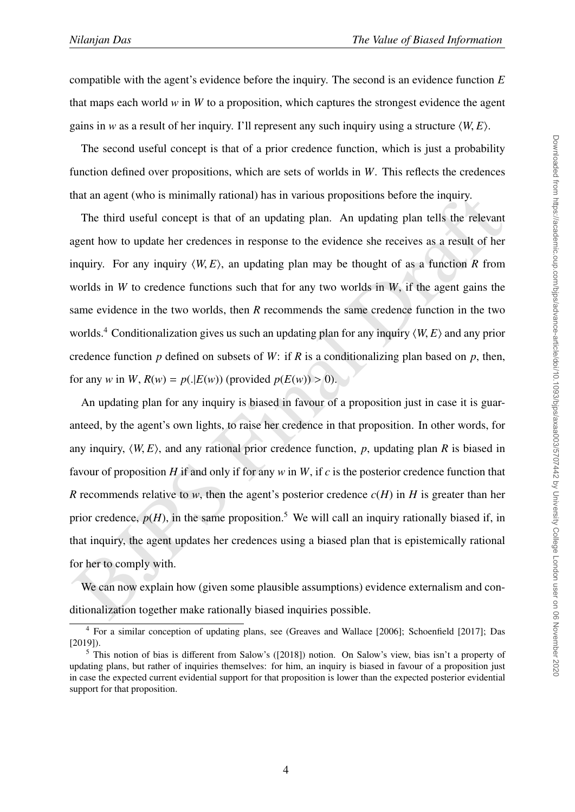compatible with the agent's evidence before the inquiry. The second is an evidence function *E* that maps each world *w* in *W* to a proposition, which captures the strongest evidence the agent gains in *w* as a result of her inquiry. I'll represent any such inquiry using a structure  $\langle W, E \rangle$ .

The second useful concept is that of a prior credence function, which is just a probability function defined over propositions, which are sets of worlds in *W*. This reflects the credences that an agent (who is minimally rational) has in various propositions before the inquiry.

that an agent (who is minimally rational) has in various propositions before the inquiry.<br>The third useful concept is that of an updating plan. An updating plan tells the relevant<br>agent how to update her credences in resp The third useful concept is that of an updating plan. An updating plan tells the relevant agent how to update her credences in response to the evidence she receives as a result of her inquiry. For any inquiry  $\langle W, E \rangle$ , an updating plan may be thought of as a function *R* from worlds in *W* to credence functions such that for any two worlds in *W*, if the agent gains the same evidence in the two worlds, then *R* recommends the same credence function in the two worlds.<sup>4</sup> Conditionalization gives us such an updating plan for any inquiry  $\langle W, E \rangle$  and any prior credence function *p* defined on subsets of *W*: if *R* is a conditionalizing plan based on *p*, then, for any *w* in *W*,  $R(w) = p(.|E(w))$  (provided  $p(E(w)) > 0$ ).

An updating plan for any inquiry is biased in favour of a proposition just in case it is guaranteed, by the agent's own lights, to raise her credence in that proposition. In other words, for any inquiry,  $\langle W, E \rangle$ , and any rational prior credence function, *p*, updating plan *R* is biased in favour of proposition *H* if and only if for any *w* in *W*, if *c* is the posterior credence function that *R* recommends relative to *w*, then the agent's posterior credence  $c(H)$  in *H* is greater than her prior credence,  $p(H)$ , in the same proposition.<sup>5</sup> We will call an inquiry rationally biased if, in that inquiry, the agent updates her credences using a biased plan that is epistemically rational for her to comply with.

We can now explain how (given some plausible assumptions) evidence externalism and conditionalization together make rationally biased inquiries possible.

<sup>4</sup> For a similar conception of updating plans, see (Greaves and Wallace [2006]; Schoenfield [2017]; Das [2019]).

<sup>5</sup> This notion of bias is different from Salow's ([2018]) notion. On Salow's view, bias isn't a property of updating plans, but rather of inquiries themselves: for him, an inquiry is biased in favour of a proposition just in case the expected current evidential support for that proposition is lower than the expected posterior evidential support for that proposition.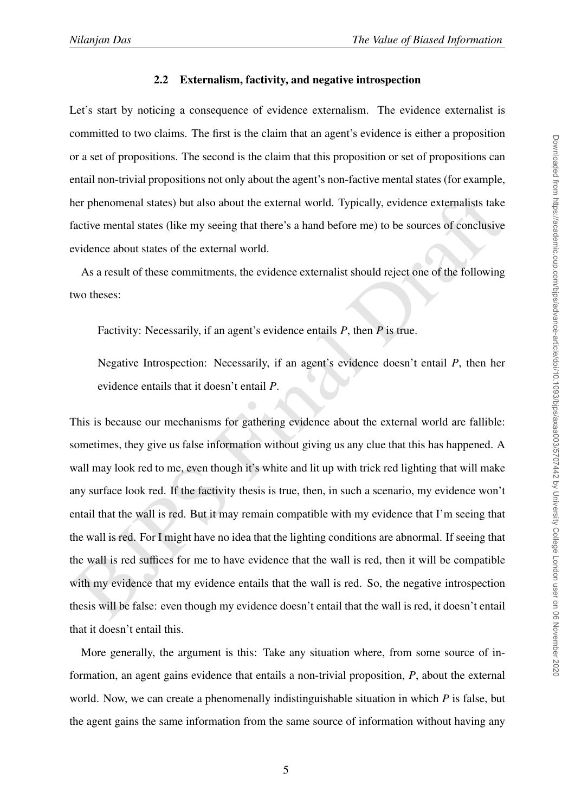## 2.2 Externalism, factivity, and negative introspection

Let's start by noticing a consequence of evidence externalism. The evidence externalist is committed to two claims. The first is the claim that an agent's evidence is either a proposition or a set of propositions. The second is the claim that this proposition or set of propositions can entail non-trivial propositions not only about the agent's non-factive mental states (for example, her phenomenal states) but also about the external world. Typically, evidence externalists take factive mental states (like my seeing that there's a hand before me) to be sources of conclusive evidence about states of the external world.

As a result of these commitments, the evidence externalist should reject one of the following two theses:

Factivity: Necessarily, if an agent's evidence entails *P*, then *P* is true.

Negative Introspection: Necessarily, if an agent's evidence doesn't entail *P*, then her evidence entails that it doesn't entail *P*.

ner phenomenal states) but also about the external world. Typically, evidence externalists take<br>factive mental states (like my seeing that there's a hand before me) to be sources of conclusive<br>vidence about states of the e This is because our mechanisms for gathering evidence about the external world are fallible: sometimes, they give us false information without giving us any clue that this has happened. A wall may look red to me, even though it's white and lit up with trick red lighting that will make any surface look red. If the factivity thesis is true, then, in such a scenario, my evidence won't entail that the wall is red. But it may remain compatible with my evidence that I'm seeing that the wall is red. For I might have no idea that the lighting conditions are abnormal. If seeing that the wall is red suffices for me to have evidence that the wall is red, then it will be compatible with my evidence that my evidence entails that the wall is red. So, the negative introspection thesis will be false: even though my evidence doesn't entail that the wall is red, it doesn't entail that it doesn't entail this.

More generally, the argument is this: Take any situation where, from some source of information, an agent gains evidence that entails a non-trivial proposition, *P*, about the external world. Now, we can create a phenomenally indistinguishable situation in which *P* is false, but the agent gains the same information from the same source of information without having any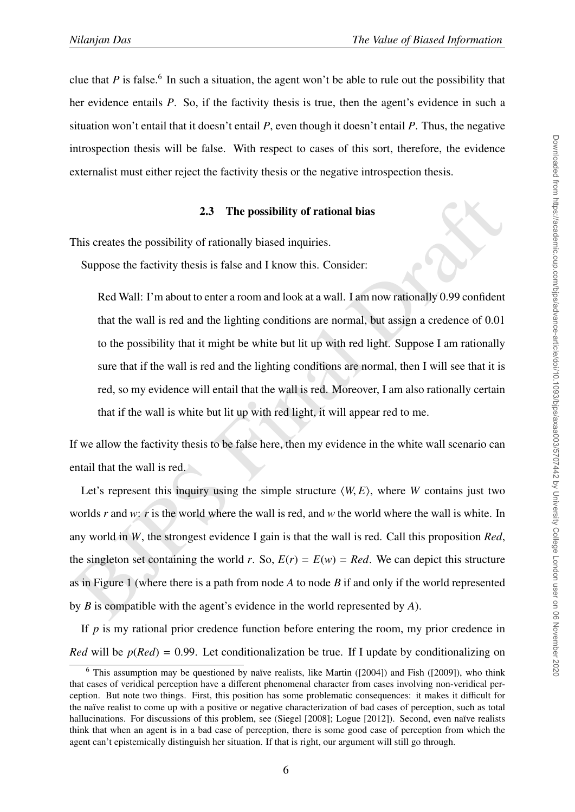clue that  $P$  is false.<sup>6</sup> In such a situation, the agent won't be able to rule out the possibility that her evidence entails *P*. So, if the factivity thesis is true, then the agent's evidence in such a situation won't entail that it doesn't entail *P*, even though it doesn't entail *P*. Thus, the negative introspection thesis will be false. With respect to cases of this sort, therefore, the evidence externalist must either reject the factivity thesis or the negative introspection thesis.

## 2.3 The possibility of rational bias

This creates the possibility of rationally biased inquiries.

Suppose the factivity thesis is false and I know this. Consider:

Red Wall: I'm about to enter a room and look at a wall. I am now rationally 0.99 confident that the wall is red and the lighting conditions are normal, but assign a credence of 0.01 to the possibility that it might be white but lit up with red light. Suppose I am rationally sure that if the wall is red and the lighting conditions are normal, then I will see that it is red, so my evidence will entail that the wall is red. Moreover, I am also rationally certain that if the wall is white but lit up with red light, it will appear red to me.

If we allow the factivity thesis to be false here, then my evidence in the white wall scenario can entail that the wall is red.

2.3 The possibility of rational bias<br>
2.3 The possibility of rationally biased inquiries.<br>
Suppose the factivity thesis is false and I know this. Consider:<br>
Red Wall: I'm about to enter a room and look at a wall. I am now Let's represent this inquiry using the simple structure  $\langle W, E \rangle$ , where *W* contains just two worlds *r* and *w*: *r* is the world where the wall is red, and *w* the world where the wall is white. In any world in *W*, the strongest evidence I gain is that the wall is red. Call this proposition *Red*, the singleton set containing the world *r*. So,  $E(r) = E(w) = Red$ . We can depict this structure as in Figure 1 (where there is a path from node *A* to node *B* if and only if the world represented by *B* is compatible with the agent's evidence in the world represented by *A*).

If *p* is my rational prior credence function before entering the room, my prior credence in *Red* will be  $p(Red) = 0.99$ . Let conditionalization be true. If I update by conditionalizing on

 $6$  This assumption may be questioned by naïve realists, like Martin ([2004]) and Fish ([2009]), who think that cases of veridical perception have a different phenomenal character from cases involving non-veridical perception. But note two things. First, this position has some problematic consequences: it makes it difficult for the naïve realist to come up with a positive or negative characterization of bad cases of perception, such as total hallucinations. For discussions of this problem, see (Siegel [2008]; Logue [2012]). Second, even naïve realists think that when an agent is in a bad case of perception, there is some good case of perception from which the agent can't epistemically distinguish her situation. If that is right, our argument will still go through.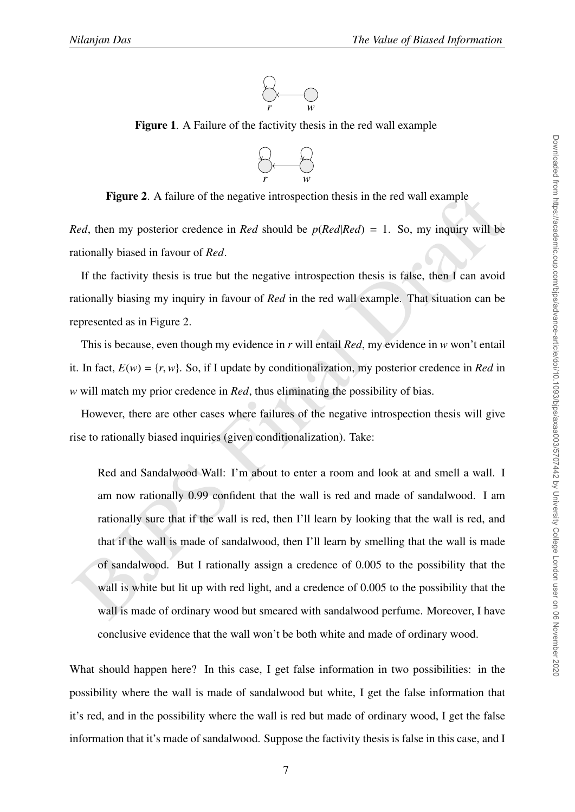

Figure 1. A Failure of the factivity thesis in the red wall example



Figure 2. A failure of the negative introspection thesis in the red wall example

*Red*, then my posterior credence in *Red* should be  $p(Red|Red) = 1$ . So, my inquiry will be rationally biased in favour of *Red*.

If the factivity thesis is true but the negative introspection thesis is false, then I can avoid rationally biasing my inquiry in favour of *Red* in the red wall example. That situation can be represented as in Figure 2.

This is because, even though my evidence in *r* will entail *Red*, my evidence in *w* won't entail it. In fact,  $E(w) = \{r, w\}$ . So, if I update by conditionalization, my posterior credence in *Red* in *w* will match my prior credence in *Red*, thus eliminating the possibility of bias.

However, there are other cases where failures of the negative introspection thesis will give rise to rationally biased inquiries (given conditionalization). Take:

Figure 2. A failure of the negative introspection thesis in the red wall example<br>Red, then my posterior credence in Red should be  $p(RedlRed) = 1$ . So, my inquiry will be<br>ationally biased in favour of Red.<br>If the factivity the Red and Sandalwood Wall: I'm about to enter a room and look at and smell a wall. I am now rationally 0.99 confident that the wall is red and made of sandalwood. I am rationally sure that if the wall is red, then I'll learn by looking that the wall is red, and that if the wall is made of sandalwood, then I'll learn by smelling that the wall is made of sandalwood. But I rationally assign a credence of 0.005 to the possibility that the wall is white but lit up with red light, and a credence of 0.005 to the possibility that the wall is made of ordinary wood but smeared with sandalwood perfume. Moreover, I have conclusive evidence that the wall won't be both white and made of ordinary wood.

What should happen here? In this case, I get false information in two possibilities: in the possibility where the wall is made of sandalwood but white, I get the false information that it's red, and in the possibility where the wall is red but made of ordinary wood, I get the false information that it's made of sandalwood. Suppose the factivity thesis is false in this case, and I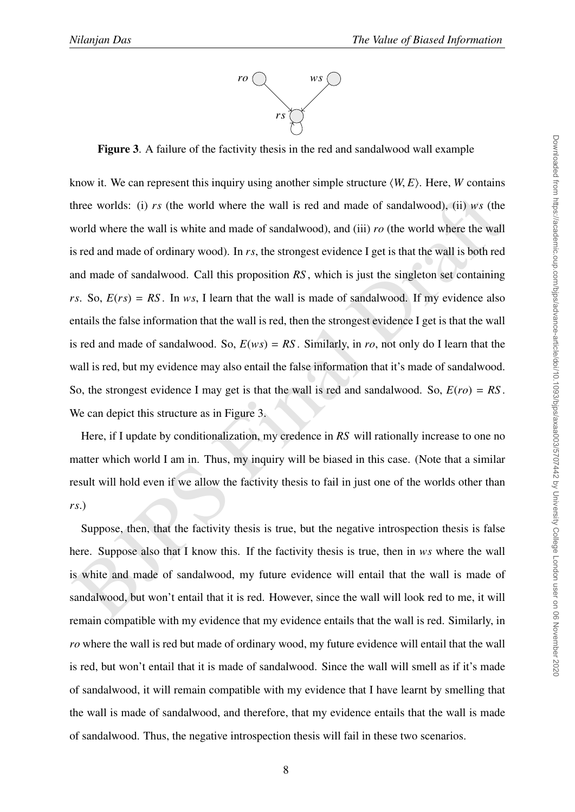

Figure 3. A failure of the factivity thesis in the red and sandalwood wall example

three worlds: (i) *rs* (the world where the wall is red and made of sandalwood), (ii) *ws* (the world where the wall is white and made of sandalwood), and (iii) *ro* (the world where the wall is red and made of sandalwood know it. We can represent this inquiry using another simple structure  $\langle W, E \rangle$ . Here, *W* contains three worlds: (i) *rs* (the world where the wall is red and made of sandalwood), (ii) *ws* (the world where the wall is white and made of sandalwood), and (iii) *ro* (the world where the wall is red and made of ordinary wood). In *rs*, the strongest evidence I get is that the wall is both red and made of sandalwood. Call this proposition *RS* , which is just the singleton set containing *rs*. So, *E*(*rs*) = *RS* . In *ws*, I learn that the wall is made of sandalwood. If my evidence also entails the false information that the wall is red, then the strongest evidence I get is that the wall is red and made of sandalwood. So,  $E(ws) = RS$ . Similarly, in *ro*, not only do I learn that the wall is red, but my evidence may also entail the false information that it's made of sandalwood. So, the strongest evidence I may get is that the wall is red and sandalwood. So, *E*(*ro*) = *RS* . We can depict this structure as in Figure 3.

Here, if I update by conditionalization, my credence in *RS* will rationally increase to one no matter which world I am in. Thus, my inquiry will be biased in this case. (Note that a similar result will hold even if we allow the factivity thesis to fail in just one of the worlds other than *rs*.)

Suppose, then, that the factivity thesis is true, but the negative introspection thesis is false here. Suppose also that I know this. If the factivity thesis is true, then in *ws* where the wall is white and made of sandalwood, my future evidence will entail that the wall is made of sandalwood, but won't entail that it is red. However, since the wall will look red to me, it will remain compatible with my evidence that my evidence entails that the wall is red. Similarly, in *ro* where the wall is red but made of ordinary wood, my future evidence will entail that the wall is red, but won't entail that it is made of sandalwood. Since the wall will smell as if it's made of sandalwood, it will remain compatible with my evidence that I have learnt by smelling that the wall is made of sandalwood, and therefore, that my evidence entails that the wall is made of sandalwood. Thus, the negative introspection thesis will fail in these two scenarios.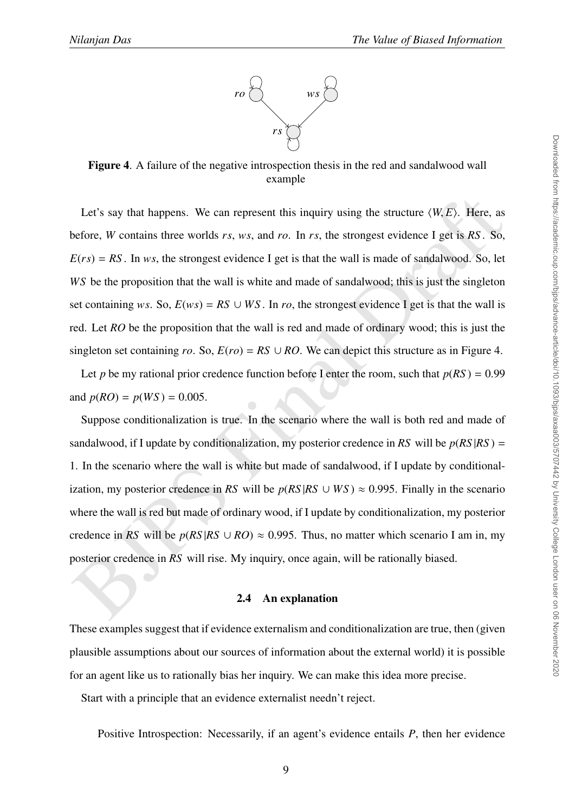

Figure 4. A failure of the negative introspection thesis in the red and sandalwood wall example

Let's say that happens. We can represent this inquiry using the structure (*W*, *E*). Here, as<br>pefore, *W* contains three worlds *rs*, *ws*, and *ro*. In *rs*, the strongest evidence I get is *RS*. So,<br> $E(rs) = RS$ . In *ws*, Let's say that happens. We can represent this inquiry using the structure  $\langle W, E \rangle$ . Here, as before, *W* contains three worlds *rs*, *ws*, and *ro*. In *rs*, the strongest evidence I get is *RS* . So,  $E(rs) = RS$ . In *ws*, the strongest evidence I get is that the wall is made of sandalwood. So, let *WS* be the proposition that the wall is white and made of sandalwood; this is just the singleton set containing *ws*. So,  $E(ws) = RS \cup WS$ . In *ro*, the strongest evidence I get is that the wall is red. Let *RO* be the proposition that the wall is red and made of ordinary wood; this is just the singleton set containing *ro*. So,  $E(ro) = RS \cup RO$ . We can depict this structure as in Figure 4.

Let *p* be my rational prior credence function before I enter the room, such that  $p(RS) = 0.99$ and  $p(RO) = p(WS) = 0.005$ .

Suppose conditionalization is true. In the scenario where the wall is both red and made of sandalwood, if I update by conditionalization, my posterior credence in *RS* will be  $p(RS|RS)$  = 1. In the scenario where the wall is white but made of sandalwood, if I update by conditionalization, my posterior credence in *RS* will be  $p(RS|RS \cup WS) \approx 0.995$ . Finally in the scenario where the wall is red but made of ordinary wood, if I update by conditionalization, my posterior credence in *RS* will be  $p(RS|RS \cup RO) \approx 0.995$ . Thus, no matter which scenario I am in, my posterior credence in *RS* will rise. My inquiry, once again, will be rationally biased.

#### 2.4 An explanation

These examples suggest that if evidence externalism and conditionalization are true, then (given plausible assumptions about our sources of information about the external world) it is possible for an agent like us to rationally bias her inquiry. We can make this idea more precise.

Start with a principle that an evidence externalist needn't reject.

Positive Introspection: Necessarily, if an agent's evidence entails *P*, then her evidence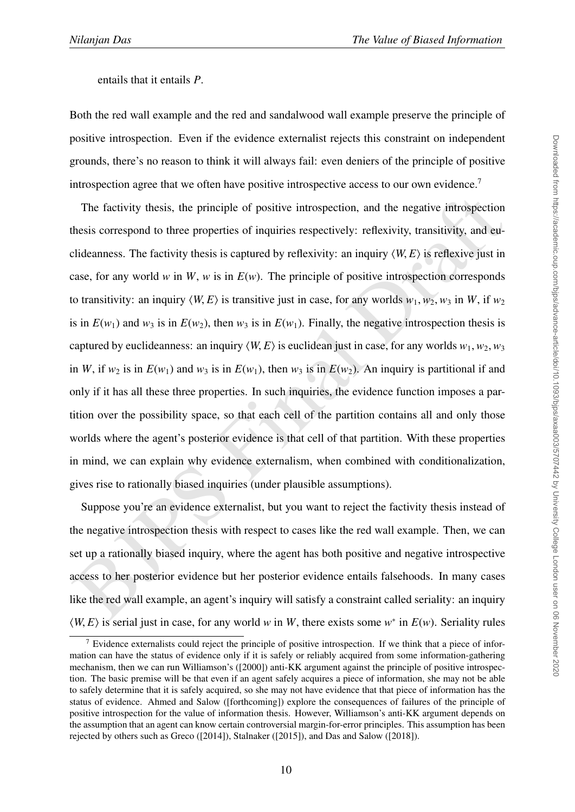## entails that it entails *P*.

Both the red wall example and the red and sandalwood wall example preserve the principle of positive introspection. Even if the evidence externalist rejects this constraint on independent grounds, there's no reason to think it will always fail: even deniers of the principle of positive introspection agree that we often have positive introspective access to our own evidence.<sup>7</sup>

The factivity thesis, the principle of positive introspection, and the negative introspection<br>hesis correspond to three properties of inquiries respectively: reflexivity, transitivity, and each<br>idecanness. The factivity t The factivity thesis, the principle of positive introspection, and the negative introspection thesis correspond to three properties of inquiries respectively: reflexivity, transitivity, and euclideanness. The factivity thesis is captured by reflexivity: an inquiry  $\langle W, E \rangle$  is reflexive just in case, for any world *w* in *W*, *w* is in  $E(w)$ . The principle of positive introspection corresponds to transitivity: an inquiry  $\langle W, E \rangle$  is transitive just in case, for any worlds  $w_1, w_2, w_3$  in *W*, if  $w_2$ is in  $E(w_1)$  and  $w_3$  is in  $E(w_2)$ , then  $w_3$  is in  $E(w_1)$ . Finally, the negative introspection thesis is captured by euclideanness: an inquiry  $\langle W, E \rangle$  is euclidean just in case, for any worlds  $w_1, w_2, w_3$ in *W*, if  $w_2$  is in  $E(w_1)$  and  $w_3$  is in  $E(w_1)$ , then  $w_3$  is in  $E(w_2)$ . An inquiry is partitional if and only if it has all these three properties. In such inquiries, the evidence function imposes a partition over the possibility space, so that each cell of the partition contains all and only those worlds where the agent's posterior evidence is that cell of that partition. With these properties in mind, we can explain why evidence externalism, when combined with conditionalization, gives rise to rationally biased inquiries (under plausible assumptions).

Suppose you're an evidence externalist, but you want to reject the factivity thesis instead of the negative introspection thesis with respect to cases like the red wall example. Then, we can set up a rationally biased inquiry, where the agent has both positive and negative introspective access to her posterior evidence but her posterior evidence entails falsehoods. In many cases like the red wall example, an agent's inquiry will satisfy a constraint called seriality: an inquiry  $\langle W, E \rangle$  is serial just in case, for any world *w* in *W*, there exists some *w*<sup>\*</sup> in *E*(*w*). Seriality rules

 $<sup>7</sup>$  Evidence externalists could reject the principle of positive introspection. If we think that a piece of infor-</sup> mation can have the status of evidence only if it is safely or reliably acquired from some information-gathering mechanism, then we can run Williamson's ([2000]) anti-KK argument against the principle of positive introspection. The basic premise will be that even if an agent safely acquires a piece of information, she may not be able to safely determine that it is safely acquired, so she may not have evidence that that piece of information has the status of evidence. Ahmed and Salow ([forthcoming]) explore the consequences of failures of the principle of positive introspection for the value of information thesis. However, Williamson's anti-KK argument depends on the assumption that an agent can know certain controversial margin-for-error principles. This assumption has been rejected by others such as Greco ([2014]), Stalnaker ([2015]), and Das and Salow ([2018]).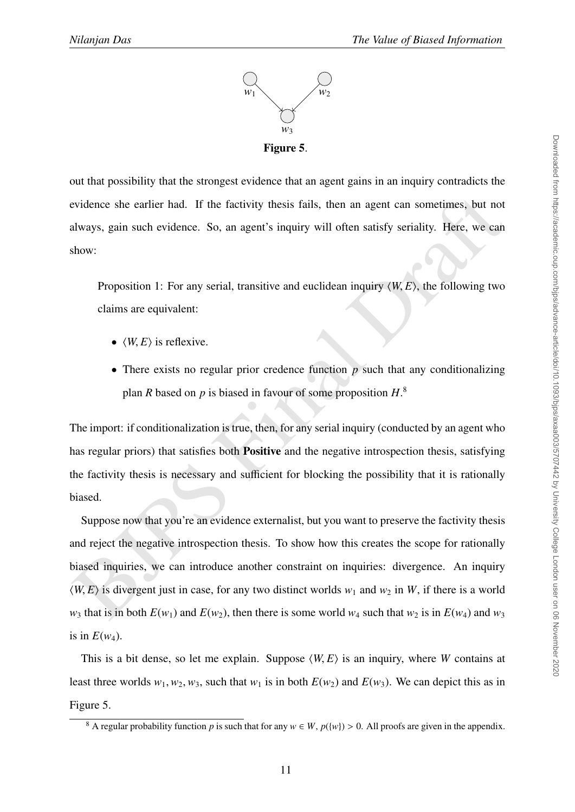

Figure 5.

out that possibility that the strongest evidence that an agent gains in an inquiry contradicts the evidence she earlier had. If the factivity thesis fails, then an agent can sometimes, but not always, gain such evidence. So, an agent's inquiry will often satisfy seriality. Here, we can show:

Proposition 1: For any serial, transitive and euclidean inquiry  $\langle W, E \rangle$ , the following two claims are equivalent:

- $\langle W, E \rangle$  is reflexive.
- There exists no regular prior credence function *p* such that any conditionalizing plan *R* based on *p* is biased in favour of some proposition *H*. 8

The import: if conditionalization is true, then, for any serial inquiry (conducted by an agent who has regular priors) that satisfies both Positive and the negative introspection thesis, satisfying the factivity thesis is necessary and sufficient for blocking the possibility that it is rationally biased.

vidence she carlier had. If the factivity thesis fails, then an agent can sometimes; but not<br>always, gain such evidence. So, an agent's inquiry will often satisfy seriality. Here, we can<br>show:<br><br>Proposition 1: For any seri Suppose now that you're an evidence externalist, but you want to preserve the factivity thesis and reject the negative introspection thesis. To show how this creates the scope for rationally biased inquiries, we can introduce another constraint on inquiries: divergence. An inquiry  $\langle W, E \rangle$  is divergent just in case, for any two distinct worlds  $w_1$  and  $w_2$  in *W*, if there is a world  $w_3$  that is in both  $E(w_1)$  and  $E(w_2)$ , then there is some world  $w_4$  such that  $w_2$  is in  $E(w_4)$  and  $w_3$ is in  $E(w_4)$ .

This is a bit dense, so let me explain. Suppose  $\langle W, E \rangle$  is an inquiry, where *W* contains at least three worlds  $w_1, w_2, w_3$ , such that  $w_1$  is in both  $E(w_2)$  and  $E(w_3)$ . We can depict this as in Figure 5.

<sup>&</sup>lt;sup>8</sup> A regular probability function *p* is such that for any  $w \in W$ ,  $p({w}) > 0$ . All proofs are given in the appendix.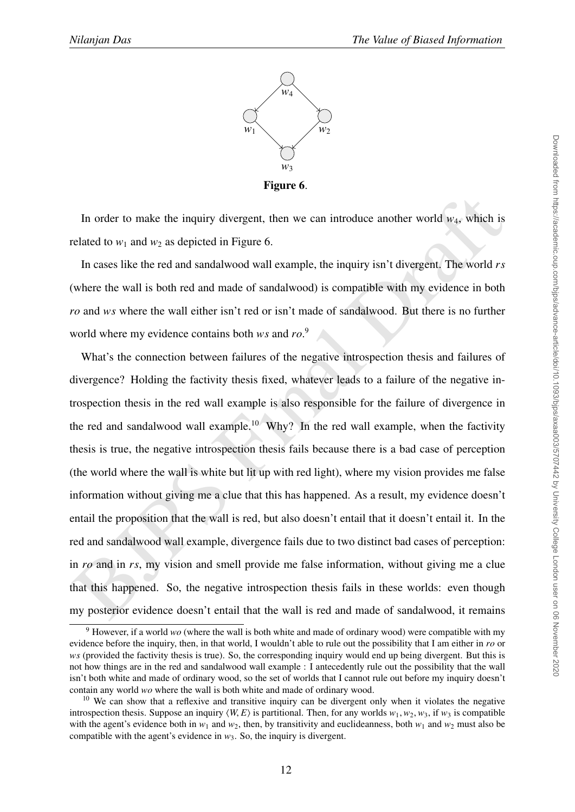

Figure 6.

In order to make the inquiry divergent, then we can introduce another world  $w_4$ , which is related to  $w_1$  and  $w_2$  as depicted in Figure 6.

In cases like the red and sandalwood wall example, the inquiry isn't divergent. The world *rs* (where the wall is both red and made of sandalwood) is compatible with my evidence in both *ro* and *ws* where the wall either isn't red or isn't made of sandalwood. But there is no further world where my evidence contains both *ws* and *ro*. 9

In order to make the inquiry divergent, then we can introduce another world  $w_4$ , which is<br>related to  $w_1$  and  $w_2$  as depicted in Figure 6.<br>In cases like the red and sandalwood wall example, the inquiry isn't divergen What's the connection between failures of the negative introspection thesis and failures of divergence? Holding the factivity thesis fixed, whatever leads to a failure of the negative introspection thesis in the red wall example is also responsible for the failure of divergence in the red and sandalwood wall example.<sup>10</sup> Why? In the red wall example, when the factivity thesis is true, the negative introspection thesis fails because there is a bad case of perception (the world where the wall is white but lit up with red light), where my vision provides me false information without giving me a clue that this has happened. As a result, my evidence doesn't entail the proposition that the wall is red, but also doesn't entail that it doesn't entail it. In the red and sandalwood wall example, divergence fails due to two distinct bad cases of perception: in *ro* and in *rs*, my vision and smell provide me false information, without giving me a clue that this happened. So, the negative introspection thesis fails in these worlds: even though my posterior evidence doesn't entail that the wall is red and made of sandalwood, it remains

<sup>&</sup>lt;sup>9</sup> However, if a world *wo* (where the wall is both white and made of ordinary wood) were compatible with my evidence before the inquiry, then, in that world, I wouldn't able to rule out the possibility that I am either in *ro* or *ws* (provided the factivity thesis is true). So, the corresponding inquiry would end up being divergent. But this is not how things are in the red and sandalwood wall example : I antecedently rule out the possibility that the wall isn't both white and made of ordinary wood, so the set of worlds that I cannot rule out before my inquiry doesn't contain any world *wo* where the wall is both white and made of ordinary wood.

<sup>&</sup>lt;sup>10</sup> We can show that a reflexive and transitive inquiry can be divergent only when it violates the negative introspection thesis. Suppose an inquiry  $\langle W, E \rangle$  is partitional. Then, for any worlds  $w_1, w_2, w_3$ , if  $w_3$  is compatible with the agent's evidence both in  $w_1$  and  $w_2$ , then, by transitivity and euclideanness, both  $w_1$  and  $w_2$  must also be compatible with the agent's evidence in  $w_3$ . So, the inquiry is divergent.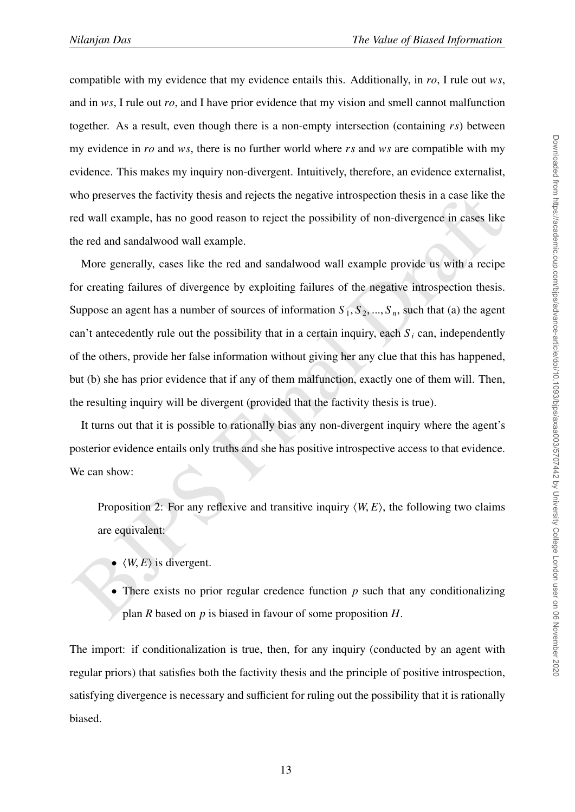compatible with my evidence that my evidence entails this. Additionally, in *ro*, I rule out *ws*, and in *ws*, I rule out *ro*, and I have prior evidence that my vision and smell cannot malfunction together. As a result, even though there is a non-empty intersection (containing *rs*) between my evidence in *ro* and *ws*, there is no further world where *rs* and *ws* are compatible with my evidence. This makes my inquiry non-divergent. Intuitively, therefore, an evidence externalist, who preserves the factivity thesis and rejects the negative introspection thesis in a case like the red wall example, has no good reason to reject the possibility of non-divergence in cases like the red and sandalwood wall example.

who preserves the tactivity thesis and rejects the negative introspection thesis in a case like the deal and sandalwood wall example.<br>
More generally, cases like the red and sandalwood wall example provide its with a reci More generally, cases like the red and sandalwood wall example provide us with a recipe for creating failures of divergence by exploiting failures of the negative introspection thesis. Suppose an agent has a number of sources of information  $S_1, S_2, ..., S_n$ , such that (a) the agent can't antecedently rule out the possibility that in a certain inquiry, each  $S_i$  can, independently of the others, provide her false information without giving her any clue that this has happened, but (b) she has prior evidence that if any of them malfunction, exactly one of them will. Then, the resulting inquiry will be divergent (provided that the factivity thesis is true).

It turns out that it is possible to rationally bias any non-divergent inquiry where the agent's posterior evidence entails only truths and she has positive introspective access to that evidence. We can show:

Proposition 2: For any reflexive and transitive inquiry  $\langle W, E \rangle$ , the following two claims are equivalent:

- $\langle W, E \rangle$  is divergent.
- There exists no prior regular credence function p such that any conditionalizing plan *R* based on *p* is biased in favour of some proposition *H*.

The import: if conditionalization is true, then, for any inquiry (conducted by an agent with regular priors) that satisfies both the factivity thesis and the principle of positive introspection, satisfying divergence is necessary and sufficient for ruling out the possibility that it is rationally biased.

13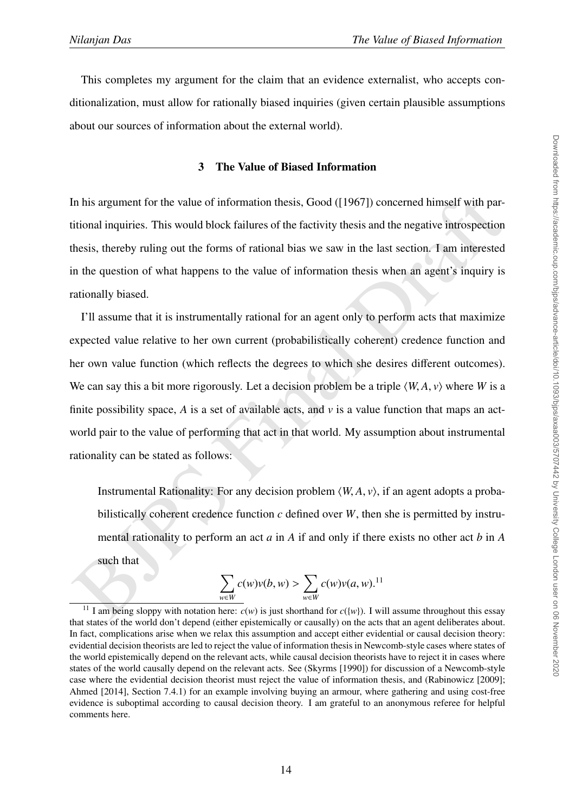This completes my argument for the claim that an evidence externalist, who accepts conditionalization, must allow for rationally biased inquiries (given certain plausible assumptions about our sources of information about the external world).

# 3 The Value of Biased Information

In his argument for the value of information thesis, Good ([1967]) concerned himself with partitional inquiries. This would block failures of the factivity thesis and the negative introspection thesis, thereby ruling out the forms of rational bias we saw in the last section. I am interested in the question of what happens to the value of information thesis when an agent's inquiry is rationally biased.

In his argument for the value of information thesis, Good (J1967) concerned himself with particional inquiries. This would block failures of the factivity thesis and the negative introspection<br>hesis, thereby ruling out th I'll assume that it is instrumentally rational for an agent only to perform acts that maximize expected value relative to her own current (probabilistically coherent) credence function and her own value function (which reflects the degrees to which she desires different outcomes). We can say this a bit more rigorously. Let a decision problem be a triple  $\langle W, A, v \rangle$  where *W* is a finite possibility space,  $A$  is a set of available acts, and  $v$  is a value function that maps an actworld pair to the value of performing that act in that world. My assumption about instrumental rationality can be stated as follows:

Instrumental Rationality: For any decision problem  $\langle W, A, v \rangle$ , if an agent adopts a probabilistically coherent credence function *c* defined over *W*, then she is permitted by instrumental rationality to perform an act *a* in *A* if and only if there exists no other act *b* in *A* such that

$$
\sum_{w \in W} c(w)v(b, w) > \sum_{w \in W} c(w)v(a, w)^{11}
$$

<sup>&</sup>lt;sup>11</sup> I am being sloppy with notation here:  $c(w)$  is just shorthand for  $c({w})$ . I will assume throughout this essay that states of the world don't depend (either epistemically or causally) on the acts that an agent deliberates about. In fact, complications arise when we relax this assumption and accept either evidential or causal decision theory: evidential decision theorists are led to reject the value of information thesis in Newcomb-style cases where states of the world epistemically depend on the relevant acts, while causal decision theorists have to reject it in cases where states of the world causally depend on the relevant acts. See (Skyrms [1990]) for discussion of a Newcomb-style case where the evidential decision theorist must reject the value of information thesis, and (Rabinowicz [2009]; Ahmed [2014], Section 7.4.1) for an example involving buying an armour, where gathering and using cost-free evidence is suboptimal according to causal decision theory. I am grateful to an anonymous referee for helpful comments here.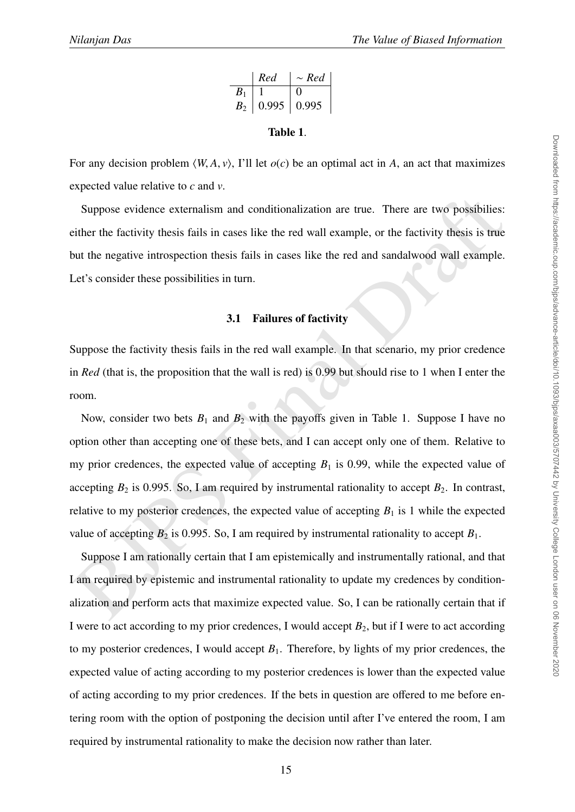|                | Red   | $\sim$ Red $\parallel$ |
|----------------|-------|------------------------|
| B              |       |                        |
| B <sub>2</sub> | 0.995 | 0.995                  |

#### Table 1.

For any decision problem  $\langle W, A, v \rangle$ , I'll let  $o(c)$  be an optimal act in *A*, an act that maximizes expected value relative to *c* and *v*.

Suppose evidence externalism and conditionalization are true. There are two possibilies: either the factivity thesis fails in cases like the red wall example, or the factivity thesis is true but the negative introspection thesis fails in cases like the red and sandalwood wall example. Let's consider these possibilities in turn.

#### 3.1 Failures of factivity

Suppose the factivity thesis fails in the red wall example. In that scenario, my prior credence in *Red* (that is, the proposition that the wall is red) is 0.99 but should rise to 1 when I enter the room.

Suppose evidence externalism and conditionalization are true. There are two possibilies:<br>
sither the factivity thesis fails in cases like the red wall example, or the factivity thesis is true<br>
out the negative introspecti Now, consider two bets  $B_1$  and  $B_2$  with the payoffs given in Table 1. Suppose I have no option other than accepting one of these bets, and I can accept only one of them. Relative to my prior credences, the expected value of accepting  $B_1$  is 0.99, while the expected value of accepting  $B_2$  is 0.995. So, I am required by instrumental rationality to accept  $B_2$ . In contrast, relative to my posterior credences, the expected value of accepting  $B_1$  is 1 while the expected value of accepting  $B_2$  is 0.995. So, I am required by instrumental rationality to accept  $B_1$ .

Suppose I am rationally certain that I am epistemically and instrumentally rational, and that I am required by epistemic and instrumental rationality to update my credences by conditionalization and perform acts that maximize expected value. So, I can be rationally certain that if I were to act according to my prior credences, I would accept *B*2, but if I were to act according to my posterior credences, I would accept  $B_1$ . Therefore, by lights of my prior credences, the expected value of acting according to my posterior credences is lower than the expected value of acting according to my prior credences. If the bets in question are offered to me before entering room with the option of postponing the decision until after I've entered the room, I am required by instrumental rationality to make the decision now rather than later.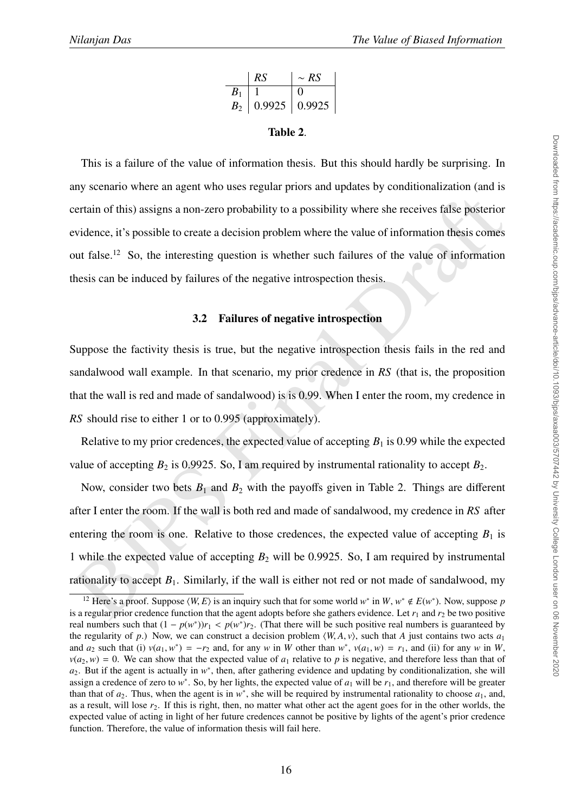|       | RS                   | $\sim RS$ |
|-------|----------------------|-----------|
| $B_1$ |                      |           |
| $B_2$ | $0.9925 \mid 0.9925$ |           |

#### Table 2.

This is a failure of the value of information thesis. But this should hardly be surprising. In any scenario where an agent who uses regular priors and updates by conditionalization (and is certain of this) assigns a non-zero probability to a possibility where she receives false posterior evidence, it's possible to create a decision problem where the value of information thesis comes out false.<sup>12</sup> So, the interesting question is whether such failures of the value of information thesis can be induced by failures of the negative introspection thesis.

#### 3.2 Failures of negative introspection

Suppose the factivity thesis is true, but the negative introspection thesis fails in the red and sandalwood wall example. In that scenario, my prior credence in *RS* (that is, the proposition that the wall is red and made of sandalwood) is is 0.99. When I enter the room, my credence in *RS* should rise to either 1 or to 0.995 (approximately).

Relative to my prior credences, the expected value of accepting  $B_1$  is 0.99 while the expected value of accepting  $B_2$  is 0.9925. So, I am required by instrumental rationality to accept  $B_2$ .

certain of this) assigns a non-zero probability to a possibility where she receives false posterior<br>vidence, it's possible to create a decision problem where the value of information thesis comes<br>out false.<sup>13</sup> So, the in Now, consider two bets  $B_1$  and  $B_2$  with the payoffs given in Table 2. Things are different after I enter the room. If the wall is both red and made of sandalwood, my credence in *RS* after entering the room is one. Relative to those credences, the expected value of accepting  $B_1$  is 1 while the expected value of accepting  $B_2$  will be 0.9925. So, I am required by instrumental rationality to accept  $B_1$ . Similarly, if the wall is either not red or not made of sandalwood, my

<sup>&</sup>lt;sup>12</sup> Here's a proof. Suppose  $\langle W, E \rangle$  is an inquiry such that for some world  $w^*$  in  $W, w^* \notin E(w^*)$ . Now, suppose *p* regular prior credence function that the agent adopts before she gathers evidence. Let *r*, and *r*, b is a regular prior credence function that the agent adopts before she gathers evidence. Let  $r_1$  and  $r_2$  be two positive real numbers such that  $(1 - p(w^*))r_1 < p(w^*)r_2$ . (That there will be such positive real numbers is guaranteed by<br>the regularity of *n*). Now we can construct a decision problem  $\langle W A, w \rangle$  such that A just contains two acts a. the regularity of *p*.) Now, we can construct a decision problem  $\langle W, A, v \rangle$ , such that *A* just contains two acts  $a_1$ and  $a_2$  such that (i)  $v(a_1, w^*) = -r_2$  and, for any *w* in *W* other than  $w^*$ ,  $v(a_1, w) = r_1$ , and (ii) for any *w* in *W*,  $v(a_2, w) = 0$ . We can show that the expected value of *a*, relative to *n* is negative, and ther  $v(a_2, w) = 0$ . We can show that the expected value of  $a_1$  relative to p is negative, and therefore less than that of *a*2. But if the agent is actually in *w* ∗ , then, after gathering evidence and updating by conditionalization, she will assign a credence of zero to  $w^*$ . So, by her lights, the expected value of  $a_1$  will be  $r_1$ , and therefore will be greater than that of  $a_2$ . Thus, when the agent is in  $w^*$ , she will be required by instrumental rationality to choose  $a_1$ , and, as a result, will lose *r*2. If this is right, then, no matter what other act the agent goes for in the other worlds, the expected value of acting in light of her future credences cannot be positive by lights of the agent's prior credence function. Therefore, the value of information thesis will fail here.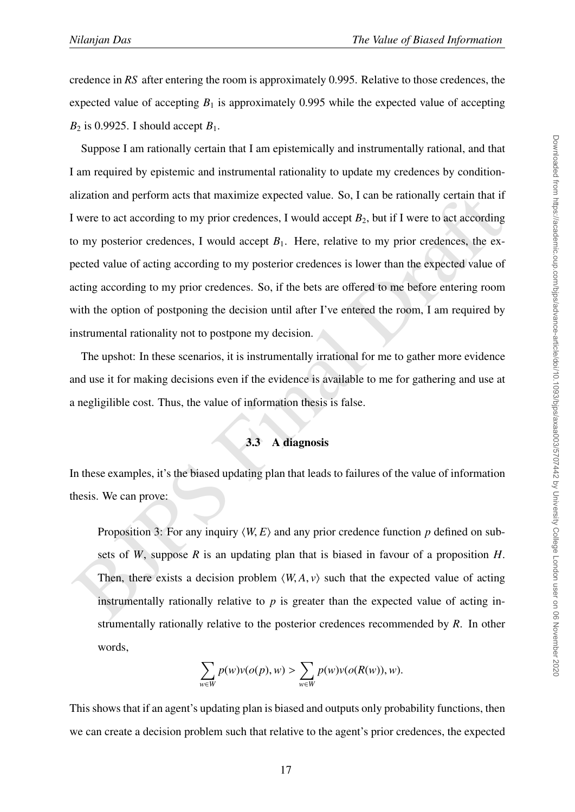credence in *RS* after entering the room is approximately 0.995. Relative to those credences, the expected value of accepting  $B_1$  is approximately 0.995 while the expected value of accepting  $B_2$  is 0.9925. I should accept  $B_1$ .

dization and perform acts that maximize expected value. So, I can be rationally certain that if<br>were to act according to my prior credences, I would accept  $B_2$ , but if I were to act according<br>o my posterior credences, I Suppose I am rationally certain that I am epistemically and instrumentally rational, and that I am required by epistemic and instrumental rationality to update my credences by conditionalization and perform acts that maximize expected value. So, I can be rationally certain that if I were to act according to my prior credences, I would accept *B*2, but if I were to act according to my posterior credences, I would accept  $B_1$ . Here, relative to my prior credences, the expected value of acting according to my posterior credences is lower than the expected value of acting according to my prior credences. So, if the bets are offered to me before entering room with the option of postponing the decision until after I've entered the room, I am required by instrumental rationality not to postpone my decision.

The upshot: In these scenarios, it is instrumentally irrational for me to gather more evidence and use it for making decisions even if the evidence is available to me for gathering and use at a negligilible cost. Thus, the value of information thesis is false.

## 3.3 A diagnosis

In these examples, it's the biased updating plan that leads to failures of the value of information thesis. We can prove:

Proposition 3: For any inquiry  $\langle W, E \rangle$  and any prior credence function p defined on subsets of *W*, suppose *R* is an updating plan that is biased in favour of a proposition *H*. Then, there exists a decision problem  $\langle W, A, v \rangle$  such that the expected value of acting instrumentally rationally relative to *p* is greater than the expected value of acting instrumentally rationally relative to the posterior credences recommended by *R*. In other words,

$$
\sum_{w \in W} p(w)v(o(p), w) > \sum_{w \in W} p(w)v(o(R(w)), w).
$$

This shows that if an agent's updating plan is biased and outputs only probability functions, then we can create a decision problem such that relative to the agent's prior credences, the expected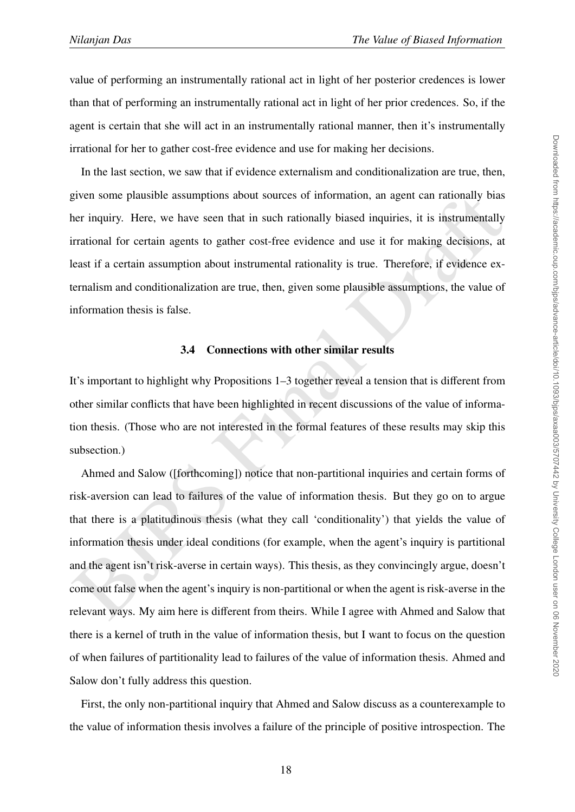value of performing an instrumentally rational act in light of her posterior credences is lower than that of performing an instrumentally rational act in light of her prior credences. So, if the agent is certain that she will act in an instrumentally rational manner, then it's instrumentally irrational for her to gather cost-free evidence and use for making her decisions.

In the last section, we saw that if evidence externalism and conditionalization are true, then, given some plausible assumptions about sources of information, an agent can rationally bias her inquiry. Here, we have seen that in such rationally biased inquiries, it is instrumentally irrational for certain agents to gather cost-free evidence and use it for making decisions, at least if a certain assumption about instrumental rationality is true. Therefore, if evidence externalism and conditionalization are true, then, given some plausible assumptions, the value of information thesis is false.

#### 3.4 Connections with other similar results

It's important to highlight why Propositions 1–3 together reveal a tension that is different from other similar conflicts that have been highlighted in recent discussions of the value of information thesis. (Those who are not interested in the formal features of these results may skip this subsection.)

given some plausible assumptions about sources of information, an agent can rationally biased<br>rer inquiry. Here, we have seen that in such rationally biased inquiries, it is instrumentally<br>practional for certain agents to Ahmed and Salow ([forthcoming]) notice that non-partitional inquiries and certain forms of risk-aversion can lead to failures of the value of information thesis. But they go on to argue that there is a platitudinous thesis (what they call 'conditionality') that yields the value of information thesis under ideal conditions (for example, when the agent's inquiry is partitional and the agent isn't risk-averse in certain ways). This thesis, as they convincingly argue, doesn't come out false when the agent's inquiry is non-partitional or when the agent is risk-averse in the relevant ways. My aim here is different from theirs. While I agree with Ahmed and Salow that there is a kernel of truth in the value of information thesis, but I want to focus on the question of when failures of partitionality lead to failures of the value of information thesis. Ahmed and Salow don't fully address this question.

First, the only non-partitional inquiry that Ahmed and Salow discuss as a counterexample to the value of information thesis involves a failure of the principle of positive introspection. The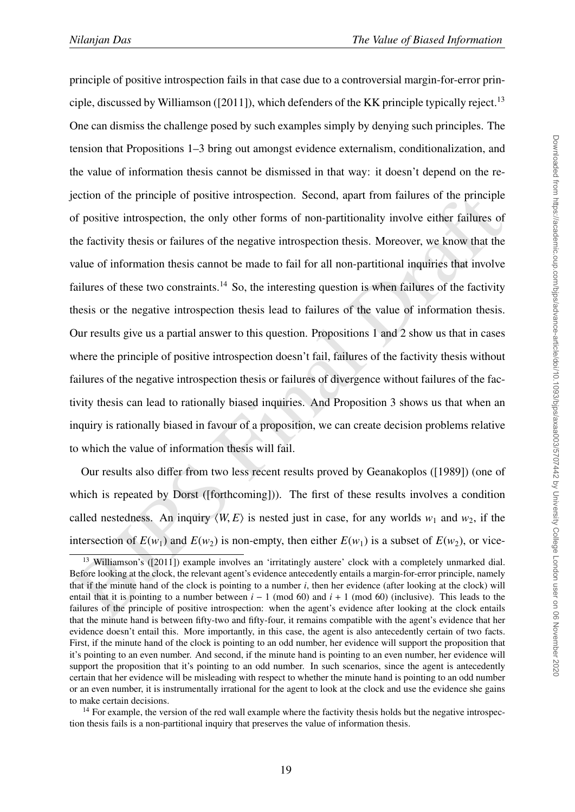ection of the principle of positive introspection. Second, apart from tailures of the principle of<br>positive introspection, the only other forms of non-partitionality involve either failures of<br>the factivity thesis or fail principle of positive introspection fails in that case due to a controversial margin-for-error principle, discussed by Williamson ([2011]), which defenders of the KK principle typically reject.<sup>13</sup> One can dismiss the challenge posed by such examples simply by denying such principles. The tension that Propositions 1–3 bring out amongst evidence externalism, conditionalization, and the value of information thesis cannot be dismissed in that way: it doesn't depend on the rejection of the principle of positive introspection. Second, apart from failures of the principle of positive introspection, the only other forms of non-partitionality involve either failures of the factivity thesis or failures of the negative introspection thesis. Moreover, we know that the value of information thesis cannot be made to fail for all non-partitional inquiries that involve failures of these two constraints.<sup>14</sup> So, the interesting question is when failures of the factivity thesis or the negative introspection thesis lead to failures of the value of information thesis. Our results give us a partial answer to this question. Propositions 1 and 2 show us that in cases where the principle of positive introspection doesn't fail, failures of the factivity thesis without failures of the negative introspection thesis or failures of divergence without failures of the factivity thesis can lead to rationally biased inquiries. And Proposition 3 shows us that when an inquiry is rationally biased in favour of a proposition, we can create decision problems relative to which the value of information thesis will fail.

Our results also differ from two less recent results proved by Geanakoplos ([1989]) (one of which is repeated by Dorst ([forthcoming])). The first of these results involves a condition called nestedness. An inquiry  $\langle W, E \rangle$  is nested just in case, for any worlds  $w_1$  and  $w_2$ , if the intersection of  $E(w_1)$  and  $E(w_2)$  is non-empty, then either  $E(w_1)$  is a subset of  $E(w_2)$ , or viceDownloaded from https://academic.oup.com/bjps/advance-article/doi/10.1093/bjps/axaa003/5707442 by University College London user on 06 November 2020

<sup>&</sup>lt;sup>13</sup> Williamson's ([2011]) example involves an 'irritatingly austere' clock with a completely unmarked dial. Before looking at the clock, the relevant agent's evidence antecedently entails a margin-for-error principle, namely that if the minute hand of the clock is pointing to a number *i*, then her evidence (after looking at the clock) will entail that it is pointing to a number between  $i - 1$  (mod 60) and  $i + 1$  (mod 60) (inclusive). This leads to the failures of the principle of positive introspection: when the agent's evidence after looking at the clock entails that the minute hand is between fifty-two and fifty-four, it remains compatible with the agent's evidence that her evidence doesn't entail this. More importantly, in this case, the agent is also antecedently certain of two facts. First, if the minute hand of the clock is pointing to an odd number, her evidence will support the proposition that it's pointing to an even number. And second, if the minute hand is pointing to an even number, her evidence will support the proposition that it's pointing to an odd number. In such scenarios, since the agent is antecedently certain that her evidence will be misleading with respect to whether the minute hand is pointing to an odd number or an even number, it is instrumentally irrational for the agent to look at the clock and use the evidence she gains to make certain decisions.

 $<sup>14</sup>$  For example, the version of the red wall example where the factivity thesis holds but the negative introspec-</sup> tion thesis fails is a non-partitional inquiry that preserves the value of information thesis.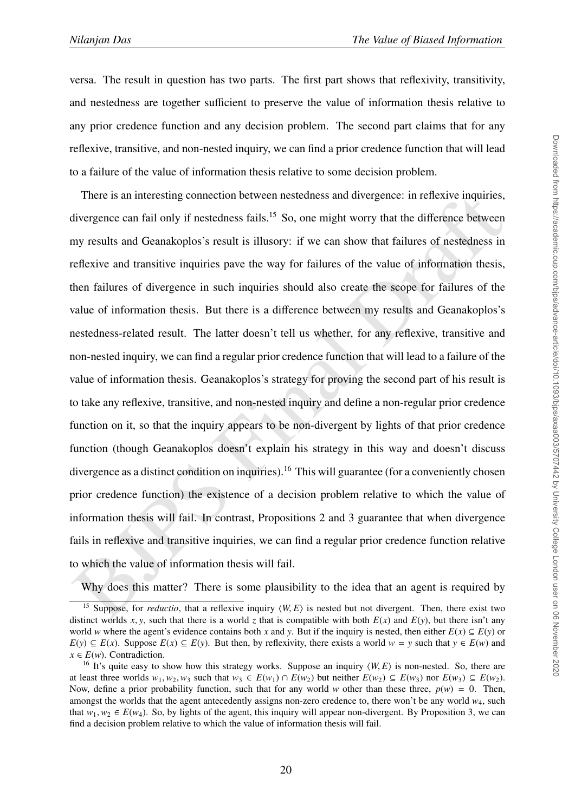versa. The result in question has two parts. The first part shows that reflexivity, transitivity, and nestedness are together sufficient to preserve the value of information thesis relative to any prior credence function and any decision problem. The second part claims that for any reflexive, transitive, and non-nested inquiry, we can find a prior credence function that will lead to a failure of the value of information thesis relative to some decision problem.

There is an interesting connection between nestectness and divergence: in reflexive inquiries,<br>divergence can fail only if nestedness fails.<sup>13</sup> So, one might worry that the difference between<br>my results and Geanakoplos's There is an interesting connection between nestedness and divergence: in reflexive inquiries, divergence can fail only if nestedness fails.<sup>15</sup> So, one might worry that the difference between my results and Geanakoplos's result is illusory: if we can show that failures of nestedness in reflexive and transitive inquiries pave the way for failures of the value of information thesis, then failures of divergence in such inquiries should also create the scope for failures of the value of information thesis. But there is a difference between my results and Geanakoplos's nestedness-related result. The latter doesn't tell us whether, for any reflexive, transitive and non-nested inquiry, we can find a regular prior credence function that will lead to a failure of the value of information thesis. Geanakoplos's strategy for proving the second part of his result is to take any reflexive, transitive, and non-nested inquiry and define a non-regular prior credence function on it, so that the inquiry appears to be non-divergent by lights of that prior credence function (though Geanakoplos doesn't explain his strategy in this way and doesn't discuss divergence as a distinct condition on inquiries).<sup>16</sup> This will guarantee (for a conveniently chosen prior credence function) the existence of a decision problem relative to which the value of information thesis will fail. In contrast, Propositions 2 and 3 guarantee that when divergence fails in reflexive and transitive inquiries, we can find a regular prior credence function relative to which the value of information thesis will fail.

Why does this matter? There is some plausibility to the idea that an agent is required by

Downloaded from https://academic.oup.com/bjps/advance-article/doi/10.1093/bjps/axaa003/5707442 by University College London user on 06 November 2020 Downloaded from https://academic.oup.com/bjps/advance-article/doi/10.1093/bjps/axaa003/5707442 by University College London user on 06 November 2020

<sup>&</sup>lt;sup>15</sup> Suppose, for *reductio*, that a reflexive inquiry  $\langle W, E \rangle$  is nested but not divergent. Then, there exist two distinct worlds x, y, such that there is a world z that is compatible with both  $E(x)$  and  $E(y)$ , but there isn't any world *w* where the agent's evidence contains both *x* and *y*. But if the inquiry is nested, then either  $E(x) \subseteq E(y)$  or *E*(*y*) ⊆ *E*(*x*). Suppose *E*(*x*) ⊆ *E*(*y*). But then, by reflexivity, there exists a world *w* = *y* such that *y* ∈ *E*(*w*) and  $x \in E(w)$ . Contradiction.

<sup>&</sup>lt;sup>16</sup> It's quite easy to show how this strategy works. Suppose an inquiry  $\langle W, E \rangle$  is non-nested. So, there are at least three worlds  $w_1, w_2, w_3$  such that  $w_3 \in E(w_1) \cap E(w_2)$  but neither  $E(w_2) \subseteq E(w_3)$  nor  $E(w_3) \subseteq E(w_2)$ . Now, define a prior probability function, such that for any world *w* other than these three,  $p(w) = 0$ . Then, amongst the worlds that the agent antecedently assigns non-zero credence to, there won't be any world  $w_4$ , such that  $w_1, w_2 \in E(w_4)$ . So, by lights of the agent, this inquiry will appear non-divergent. By Proposition 3, we can find a decision problem relative to which the value of information thesis will fail.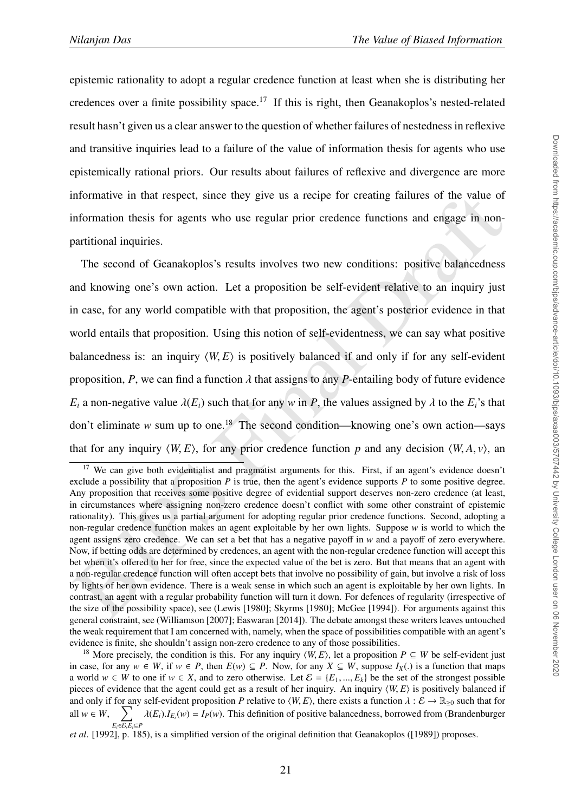epistemic rationality to adopt a regular credence function at least when she is distributing her credences over a finite possibility space.<sup>17</sup> If this is right, then Geanakoplos's nested-related result hasn't given us a clear answer to the question of whether failures of nestedness in reflexive and transitive inquiries lead to a failure of the value of information thesis for agents who use epistemically rational priors. Our results about failures of reflexive and divergence are more informative in that respect, since they give us a recipe for creating failures of the value of information thesis for agents who use regular prior credence functions and engage in nonpartitional inquiries.

ntormative in that respect, since they give us a recipe for creating tailures of the value of<br>aformation thesis for agents who use regular prior credence functions and engage in non-<br>antitional inquiries.<br>The second of Ge The second of Geanakoplos's results involves two new conditions: positive balancedness and knowing one's own action. Let a proposition be self-evident relative to an inquiry just in case, for any world compatible with that proposition, the agent's posterior evidence in that world entails that proposition. Using this notion of self-evidentness, we can say what positive balancedness is: an inquiry  $\langle W, E \rangle$  is positively balanced if and only if for any self-evident proposition, *P*, we can find a function  $\lambda$  that assigns to any *P*-entailing body of future evidence *E*<sub>*i*</sub> a non-negative value  $\lambda(E_i)$  such that for any *w* in *P*, the values assigned by  $\lambda$  to the *E<sub>i</sub>*'s that don't eliminate *w* sum up to one.<sup>18</sup> The second condition—knowing one's own action—says that for any inquiry  $\langle W, E \rangle$ , for any prior credence function *p* and any decision  $\langle W, A, v \rangle$ , an

<sup>&</sup>lt;sup>17</sup> We can give both evidentialist and pragmatist arguments for this. First, if an agent's evidence doesn't exclude a possibility that a proposition *P* is true, then the agent's evidence supports *P* to some positive degree. Any proposition that receives some positive degree of evidential support deserves non-zero credence (at least, in circumstances where assigning non-zero credence doesn't conflict with some other constraint of epistemic rationality). This gives us a partial argument for adopting regular prior credence functions. Second, adopting a non-regular credence function makes an agent exploitable by her own lights. Suppose *w* is world to which the agent assigns zero credence. We can set a bet that has a negative payoff in *w* and a payoff of zero everywhere. Now, if betting odds are determined by credences, an agent with the non-regular credence function will accept this bet when it's offered to her for free, since the expected value of the bet is zero. But that means that an agent with a non-regular credence function will often accept bets that involve no possibility of gain, but involve a risk of loss by lights of her own evidence. There is a weak sense in which such an agent is exploitable by her own lights. In contrast, an agent with a regular probability function will turn it down. For defences of regularity (irrespective of the size of the possibility space), see (Lewis [1980]; Skyrms [1980]; McGee [1994]). For arguments against this general constraint, see (Williamson [2007]; Easwaran [2014]). The debate amongst these writers leaves untouched the weak requirement that I am concerned with, namely, when the space of possibilities compatible with an agent's evidence is finite, she shouldn't assign non-zero credence to any of those possibilities.

<sup>&</sup>lt;sup>18</sup> More precisely, the condition is this. For any inquiry  $\langle W, E \rangle$ , let a proposition  $P \subseteq W$  be self-evident just in case, for any  $w \in W$ , if  $w \in P$ , then  $E(w) \subseteq P$ . Now, for any  $X \subseteq W$ , suppose  $I_X(.)$  is a function that maps a world *w* ∈ *W* to one if *w* ∈ *X*, and to zero otherwise. Let  $\mathcal{E} = \{E_1, ..., E_k\}$  be the set of the strongest possible pieces of evidence that the agent could get as a result of her inquiry. An inquiry  $\langle W, E \rangle$  is positively balanced if and only if for any self-evident proposition *P* relative to  $\langle W, E \rangle$ , there exists a function  $\lambda : \mathcal{E} \to \mathbb{R}_{\geq 0}$  such that for all  $w \in W$ ,  $\nabla$ *E<sub>i</sub>∈E,E<sub>i</sub>⊆P*<br>*et al.* [1992], p. 185), is a simplified version of the original definition that Geanakoplos ([1989]) proposes.  $\lambda(E_i) \cdot I_{E_i}(w) = I_P(w)$ . This definition of positive balancedness, borrowed from (Brandenburger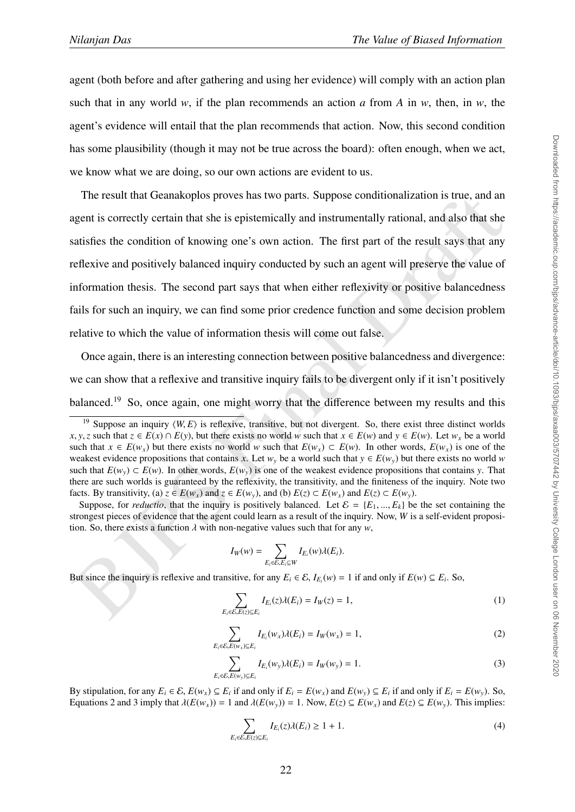agent (both before and after gathering and using her evidence) will comply with an action plan such that in any world *w*, if the plan recommends an action *a* from *A* in *w*, then, in *w*, the agent's evidence will entail that the plan recommends that action. Now, this second condition has some plausibility (though it may not be true across the board): often enough, when we act, we know what we are doing, so our own actions are evident to us.

The result that Geanakophos proves has two parts. Suppose conditionalization is true, and an<br>gent is correctly certain that she is epistemically and instrumentally rational, and also that she<br>assisfes the condition of kno The result that Geanakoplos proves has two parts. Suppose conditionalization is true, and an agent is correctly certain that she is epistemically and instrumentally rational, and also that she satisfies the condition of knowing one's own action. The first part of the result says that any reflexive and positively balanced inquiry conducted by such an agent will preserve the value of information thesis. The second part says that when either reflexivity or positive balancedness fails for such an inquiry, we can find some prior credence function and some decision problem relative to which the value of information thesis will come out false.

Once again, there is an interesting connection between positive balancedness and divergence: we can show that a reflexive and transitive inquiry fails to be divergent only if it isn't positively balanced.<sup>19</sup> So, once again, one might worry that the difference between my results and this

Suppose, for *reductio*, that the inquiry is positively balanced. Let  $\mathcal{E} = \{E_1, ..., E_k\}$  be the set containing the strongest pieces of evidence that the agent could learn as a result of the inquiry. Now, *W* is a self-evident proposition. So, there exists a function  $\lambda$  with non-negative values such that for any *w*.

$$
I_W(w) = \sum_{E_i \in \mathcal{E}, E_i \subseteq W} I_{E_i}(w) \lambda(E_i).
$$

But since the inquiry is reflexive and transitive, for any  $E_i \in \mathcal{E}$ ,  $I_{E_i}(w) = 1$  if and only if  $E(w) \subseteq E_i$ . So,

$$
\sum_{E_i \in \mathcal{E}, E(z) \subseteq E_i} I_{E_i}(z) \lambda(E_i) = I_W(z) = 1,\tag{1}
$$

$$
\sum_{E_i \in \mathcal{E}, E(w_x) \subseteq E_i} I_{E_i}(w_x) \lambda(E_i) = I_W(w_x) = 1,
$$
\n(2)

$$
\sum_{E_i \in \mathcal{E}, E(w_y) \subseteq E_i} I_{E_i}(w_y) \lambda(E_i) = I_W(w_y) = 1.
$$
\n(3)

By stipulation, for any  $E_i \in \mathcal{E}$ ,  $E(w_x) \subseteq E_i$  if and only if  $E_i = E(w_x)$  and  $E(w_y) \subseteq E_i$  if and only if  $E_i = E(w_y)$ . So, Equations 2 and 3 imply that  $\lambda(E(w_x)) = 1$  and  $\lambda(E(w_y)) = 1$ . Now,  $E(z) \subseteq E(w_x)$  and  $E(z) \subseteq E(w_y)$ . This implies:

$$
\sum_{E_i \in \mathcal{E}, E(z) \subseteq E_i} I_{E_i}(z) \lambda(E_i) \ge 1 + 1.
$$
\n(4)

<sup>&</sup>lt;sup>19</sup> Suppose an inquiry  $\langle W, E \rangle$  is reflexive, transitive, but not divergent. So, there exist three distinct worlds x, y, z such that  $z \in E(x) \cap E(y)$ , but there exists no world w such that  $x \in E(w)$  and  $y \in E(w)$ . Let  $w_x$  be a world such that  $x \in E(w_x)$  but there exists no world *w* such that  $E(w_x) \subset E(w)$ . In other words,  $E(w_x)$  is one of the weakest evidence propositions that contains *x*. Let  $w_y$  be a world such that  $y \in E(w_y)$  but there exists no world *w* such that  $E(w_y) \subset E(w)$ . In other words,  $E(w_y)$  is one of the weakest evidence propositions that contains *y*. That there are such worlds is guaranteed by the reflexivity, the transitivity, and the finiteness of the inquiry. Note two facts. By transitivity, (a)  $z \in E(w_x)$  and  $z \in E(w_y)$ , and (b)  $E(z) \subset E(w_x)$  and  $E(z) \subset E(w_y)$ .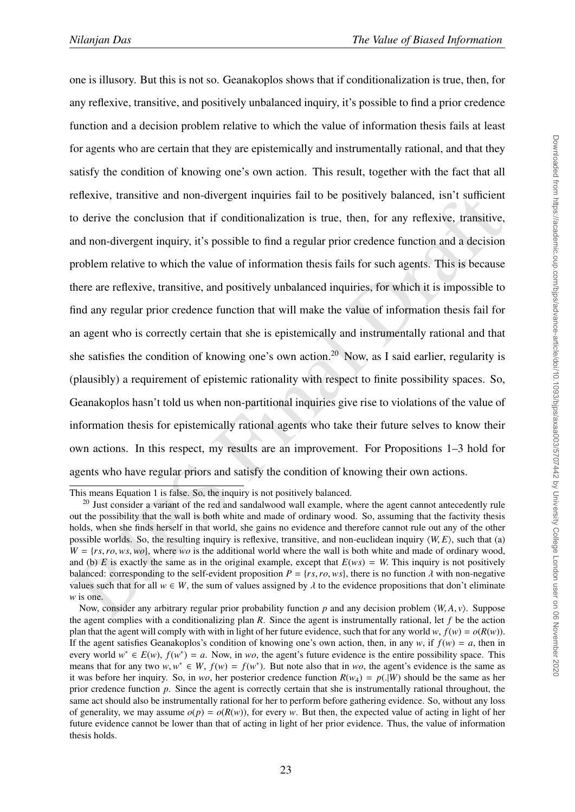relexive, transitive and non-divergent inquiries tail to be positively halanced, isn it sufficient<br>of derive the conclusion that if conditionalization is true, then, for any reflexive, transitive,<br>and non-divergent inquir one is illusory. But this is not so. Geanakoplos shows that if conditionalization is true, then, for any reflexive, transitive, and positively unbalanced inquiry, it's possible to find a prior credence function and a decision problem relative to which the value of information thesis fails at least for agents who are certain that they are epistemically and instrumentally rational, and that they satisfy the condition of knowing one's own action. This result, together with the fact that all reflexive, transitive and non-divergent inquiries fail to be positively balanced, isn't sufficient to derive the conclusion that if conditionalization is true, then, for any reflexive, transitive, and non-divergent inquiry, it's possible to find a regular prior credence function and a decision problem relative to which the value of information thesis fails for such agents. This is because there are reflexive, transitive, and positively unbalanced inquiries, for which it is impossible to find any regular prior credence function that will make the value of information thesis fail for an agent who is correctly certain that she is epistemically and instrumentally rational and that she satisfies the condition of knowing one's own action.<sup>20</sup> Now, as I said earlier, regularity is (plausibly) a requirement of epistemic rationality with respect to finite possibility spaces. So, Geanakoplos hasn't told us when non-partitional inquiries give rise to violations of the value of information thesis for epistemically rational agents who take their future selves to know their own actions. In this respect, my results are an improvement. For Propositions 1–3 hold for agents who have regular priors and satisfy the condition of knowing their own actions.

This means Equation 1 is false. So, the inquiry is not positively balanced.

<sup>&</sup>lt;sup>20</sup> Just consider a variant of the red and sandalwood wall example, where the agent cannot antecedently rule out the possibility that the wall is both white and made of ordinary wood. So, assuming that the factivity thesis holds, when she finds herself in that world, she gains no evidence and therefore cannot rule out any of the other possible worlds. So, the resulting inquiry is reflexive, transitive, and non-euclidean inquiry  $\langle W, E \rangle$ , such that (a)  $W = \{rs, ro, ws, wo\}$ , where *wo* is the additional world where the wall is both white and made of ordinary wood, and (b) *E* is exactly the same as in the original example, except that  $E(ws) = W$ . This inquiry is not positively balanced: corresponding to the self-evident proposition  $P = \{rs, ro, ws\}$ , there is no function  $\lambda$  with non-negative values such that for all  $w \in W$ , the sum of values assigned by  $\lambda$  to the evidence propositions that don't eliminate *w* is one.

Now, consider any arbitrary regular prior probability function *p* and any decision problem  $\langle W, A, v \rangle$ . Suppose the agent complies with a conditionalizing plan *R*. Since the agent is instrumentally rational, let *f* be the action plan that the agent will comply with with in light of her future evidence, such that for any world  $w$ ,  $f(w) = o(R(w))$ . If the agent satisfies Geanakoplos's condition of knowing one's own action, then, in any  $w$ , if  $f(w) = a$ , then in every world  $w^* \in E(w)$ ,  $f(w^*) = a$ . Now, in *wo*, the agent's future evidence is the entire possibility space. This means that for any two *w*,  $w^* \in W$ ,  $f(w) = f(w^*)$ . But note also that in *wo*, the agent's evidence is the same as the same as the same as the same as her value of  $F(w_*) = p(W)$  should be the same as her it was before her inquiry. So, in *wo*, her posterior credence function  $R(w_4) = p(.|W)$  should be the same as her prior credence function *p*. Since the agent is correctly certain that she is instrumentally rational throughout, the same act should also be instrumentally rational for her to perform before gathering evidence. So, without any loss of generality, we may assume  $o(p) = o(R(w))$ , for every *w*. But then, the expected value of acting in light of her future evidence cannot be lower than that of acting in light of her prior evidence. Thus, the value of information thesis holds.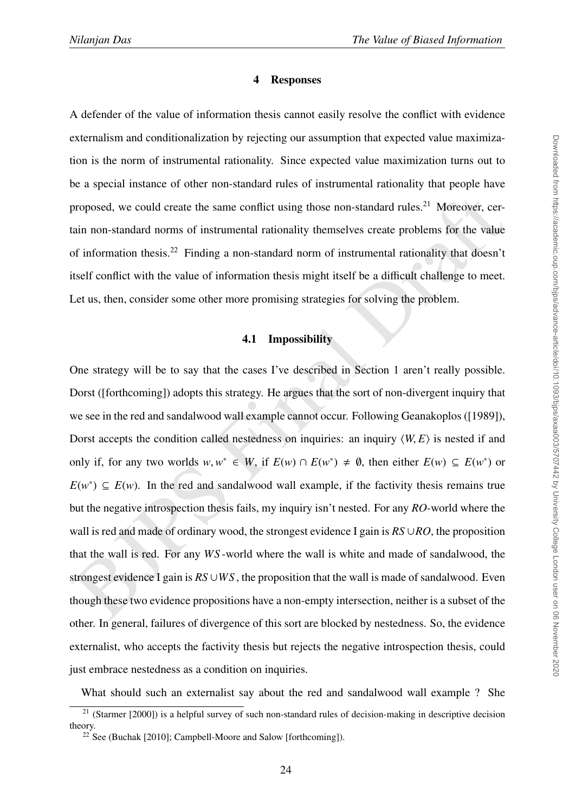### 4 Responses

A defender of the value of information thesis cannot easily resolve the conflict with evidence externalism and conditionalization by rejecting our assumption that expected value maximization is the norm of instrumental rationality. Since expected value maximization turns out to be a special instance of other non-standard rules of instrumental rationality that people have proposed, we could create the same conflict using those non-standard rules.<sup>21</sup> Moreover, certain non-standard norms of instrumental rationality themselves create problems for the value of information thesis.<sup>22</sup> Finding a non-standard norm of instrumental rationality that doesn't itself conflict with the value of information thesis might itself be a difficult challenge to meet. Let us, then, consider some other more promising strategies for solving the problem.

## 4.1 Impossibility

proposed, we could create the same conflict using those non-standard rules.<sup>21</sup> Moreover, cer-<br>ain non-standard norms of instrumental rationality themselves create problems for the value<br>of information thesis.<sup>22</sup> Finding One strategy will be to say that the cases I've described in Section 1 aren't really possible. Dorst ([forthcoming]) adopts this strategy. He argues that the sort of non-divergent inquiry that we see in the red and sandalwood wall example cannot occur. Following Geanakoplos ([1989]), Dorst accepts the condition called nestedness on inquiries: an inquiry  $\langle W, E \rangle$  is nested if and only if, for any two worlds *w*, *w*<sup>∗</sup> ∈ *W*, if *E*(*w*) ∩ *E*(*w*<sup>\*</sup>) ≠  $\emptyset$ , then either *E*(*w*) ⊆ *E*(*w*<sup>\*</sup>) or  $E(w^*) \subseteq E(w)$ . In the red and sandalwood wall example, if the factivity thesis remains true but the negative introspection thesis fails, my inquiry isn't nested. For any *RO*-world where the wall is red and made of ordinary wood, the strongest evidence I gain is *RS* ∪*RO*, the proposition that the wall is red. For any *WS* -world where the wall is white and made of sandalwood, the strongest evidence I gain is  $RS \cup WS$ , the proposition that the wall is made of sandalwood. Even though these two evidence propositions have a non-empty intersection, neither is a subset of the other. In general, failures of divergence of this sort are blocked by nestedness. So, the evidence externalist, who accepts the factivity thesis but rejects the negative introspection thesis, could just embrace nestedness as a condition on inquiries.

What should such an externalist say about the red and sandalwood wall example ? She

<sup>21</sup> (Starmer [2000]) is a helpful survey of such non-standard rules of decision-making in descriptive decision theory.

 $22$  See (Buchak [2010]; Campbell-Moore and Salow [forthcoming]).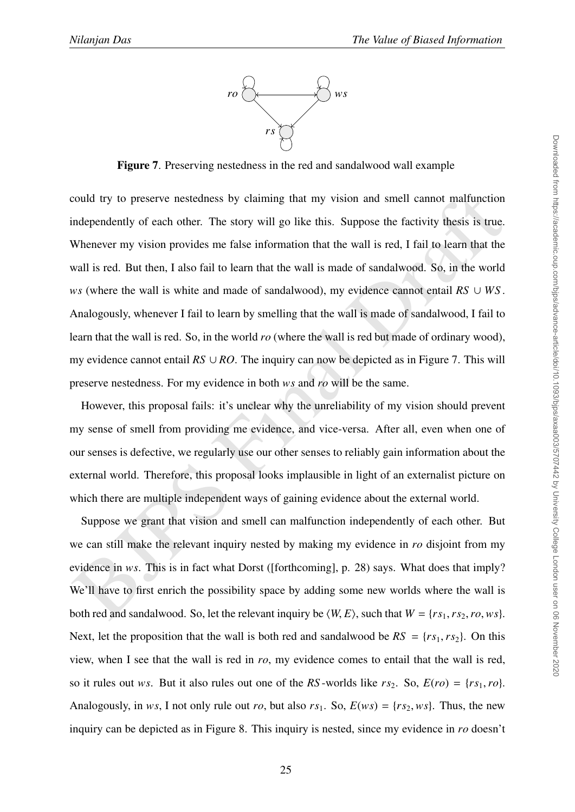

Figure 7. Preserving nestedness in the red and sandalwood wall example

could try to preserve nestedness by claiming that my vision and smell cannot malfunction<br>andependently of each other. The story will go like this. Suppose the factivity thesis is true.<br>Whenever my vision provides me false could try to preserve nestedness by claiming that my vision and smell cannot malfunction independently of each other. The story will go like this. Suppose the factivity thesis is true. Whenever my vision provides me false information that the wall is red, I fail to learn that the wall is red. But then, I also fail to learn that the wall is made of sandalwood. So, in the world *ws* (where the wall is white and made of sandalwood), my evidence cannot entail *RS* ∪ *WS* . Analogously, whenever I fail to learn by smelling that the wall is made of sandalwood, I fail to learn that the wall is red. So, in the world *ro* (where the wall is red but made of ordinary wood), my evidence cannot entail *RS* ∪ *RO*. The inquiry can now be depicted as in Figure 7. This will preserve nestedness. For my evidence in both *ws* and *ro* will be the same.

However, this proposal fails: it's unclear why the unreliability of my vision should prevent my sense of smell from providing me evidence, and vice-versa. After all, even when one of our senses is defective, we regularly use our other senses to reliably gain information about the external world. Therefore, this proposal looks implausible in light of an externalist picture on which there are multiple independent ways of gaining evidence about the external world.

Suppose we grant that vision and smell can malfunction independently of each other. But we can still make the relevant inquiry nested by making my evidence in *ro* disjoint from my evidence in *ws*. This is in fact what Dorst ([forthcoming], p. 28) says. What does that imply? We'll have to first enrich the possibility space by adding some new worlds where the wall is both red and sandalwood. So, let the relevant inquiry be  $\langle W, E \rangle$ , such that  $W = \{rs_1, rs_2, ro, ws\}$ . Next, let the proposition that the wall is both red and sandalwood be  $RS = \{rs_1, rs_2\}$ . On this view, when I see that the wall is red in *ro*, my evidence comes to entail that the wall is red, so it rules out *ws*. But it also rules out one of the *RS*-worlds like  $rs_2$ . So,  $E(ro) = \{rs_1, ro\}$ . Analogously, in *ws*, I not only rule out *ro*, but also  $rs_1$ . So,  $E(ws) = \{rs_2, ws\}$ . Thus, the new inquiry can be depicted as in Figure 8. This inquiry is nested, since my evidence in *ro* doesn't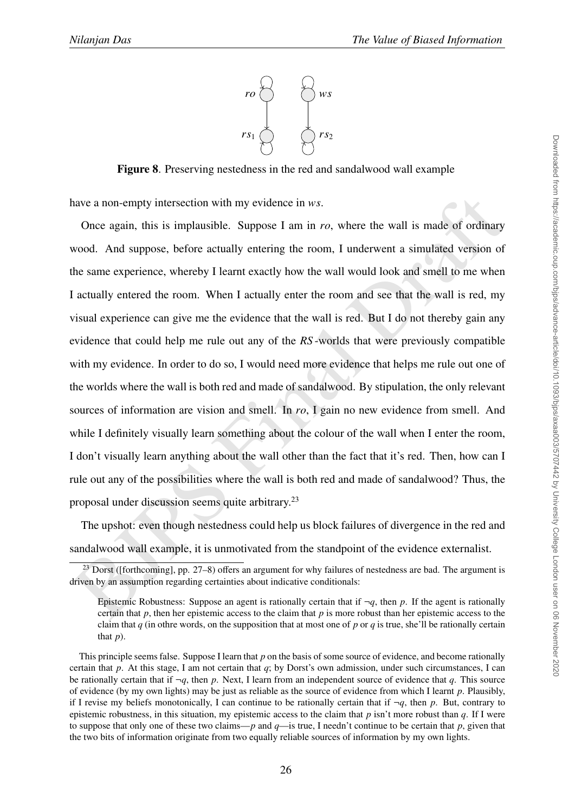

Figure 8. Preserving nestedness in the red and sandalwood wall example

have a non-empty intersection with my evidence in *ws*.

nave a non-empty intersection with my evidence in *ws*.<br>
Once again, this is implausible. Suppose 1 am in *ro*, where the wall is made of ordinary<br>
wood. And suppose, before actually entering the room, I underwent a simul Once again, this is implausible. Suppose I am in *ro*, where the wall is made of ordinary wood. And suppose, before actually entering the room, I underwent a simulated version of the same experience, whereby I learnt exactly how the wall would look and smell to me when I actually entered the room. When I actually enter the room and see that the wall is red, my visual experience can give me the evidence that the wall is red. But I do not thereby gain any evidence that could help me rule out any of the *RS* -worlds that were previously compatible with my evidence. In order to do so, I would need more evidence that helps me rule out one of the worlds where the wall is both red and made of sandalwood. By stipulation, the only relevant sources of information are vision and smell. In *ro*, I gain no new evidence from smell. And while I definitely visually learn something about the colour of the wall when I enter the room, I don't visually learn anything about the wall other than the fact that it's red. Then, how can I rule out any of the possibilities where the wall is both red and made of sandalwood? Thus, the proposal under discussion seems quite arbitrary.<sup>23</sup>

The upshot: even though nestedness could help us block failures of divergence in the red and sandalwood wall example, it is unmotivated from the standpoint of the evidence externalist.

<sup>&</sup>lt;sup>23</sup> Dorst ([forthcoming], pp. 27–8) offers an argument for why failures of nestedness are bad. The argument is driven by an assumption regarding certainties about indicative conditionals:

Epistemic Robustness: Suppose an agent is rationally certain that if  $\neg q$ , then p. If the agent is rationally certain that  $p$ , then her epistemic access to the claim that  $p$  is more robust than her epistemic access to the claim that  $q$  (in othre words, on the supposition that at most one of  $p$  or  $q$  is true, she'll be rationally certain that *p*).

This principle seems false. Suppose I learn that *p* on the basis of some source of evidence, and become rationally certain that *p*. At this stage, I am not certain that *q*; by Dorst's own admission, under such circumstances, I can be rationally certain that if  $\neg q$ , then *p*. Next, I learn from an independent source of evidence that *q*. This source of evidence (by my own lights) may be just as reliable as the source of evidence from which I learnt *p*. Plausibly, if I revise my beliefs monotonically, I can continue to be rationally certain that if  $\neg q$ , then *p*. But, contrary to epistemic robustness, in this situation, my epistemic access to the claim that *p* isn't more robust than *q*. If I were to suppose that only one of these two claims— $p$  and  $q$ —is true, I needn't continue to be certain that  $p$ , given that the two bits of information originate from two equally reliable sources of information by my own lights.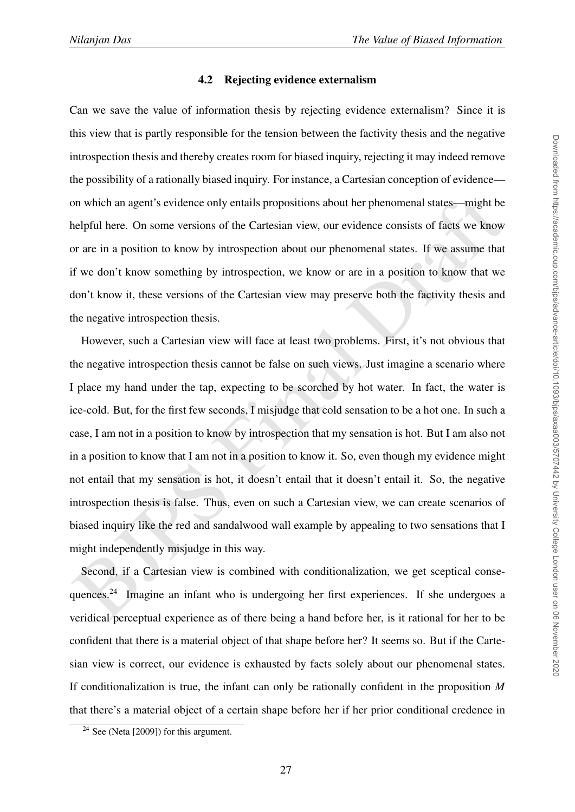# 4.2 Rejecting evidence externalism

Can we save the value of information thesis by rejecting evidence externalism? Since it is this view that is partly responsible for the tension between the factivity thesis and the negative introspection thesis and thereby creates room for biased inquiry, rejecting it may indeed remove the possibility of a rationally biased inquiry. For instance, a Cartesian conception of evidence on which an agent's evidence only entails propositions about her phenomenal states—might be helpful here. On some versions of the Cartesian view, our evidence consists of facts we know or are in a position to know by introspection about our phenomenal states. If we assume that if we don't know something by introspection, we know or are in a position to know that we don't know it, these versions of the Cartesian view may preserve both the factivity thesis and the negative introspection thesis.

on which an agent's evidence only entails propositions about her phenomenal states—might be<br>adeptial here. On some versions of the Cartesian view, our evidence consists of facts we know<br>or are in a position to know by int However, such a Cartesian view will face at least two problems. First, it's not obvious that the negative introspection thesis cannot be false on such views. Just imagine a scenario where I place my hand under the tap, expecting to be scorched by hot water. In fact, the water is ice-cold. But, for the first few seconds, I misjudge that cold sensation to be a hot one. In such a case, I am not in a position to know by introspection that my sensation is hot. But I am also not in a position to know that I am not in a position to know it. So, even though my evidence might not entail that my sensation is hot, it doesn't entail that it doesn't entail it. So, the negative introspection thesis is false. Thus, even on such a Cartesian view, we can create scenarios of biased inquiry like the red and sandalwood wall example by appealing to two sensations that I might independently misjudge in this way.

Second, if a Cartesian view is combined with conditionalization, we get sceptical consequences.<sup>24</sup> Imagine an infant who is undergoing her first experiences. If she undergoes a veridical perceptual experience as of there being a hand before her, is it rational for her to be confident that there is a material object of that shape before her? It seems so. But if the Cartesian view is correct, our evidence is exhausted by facts solely about our phenomenal states. If conditionalization is true, the infant can only be rationally confident in the proposition *M* that there's a material object of a certain shape before her if her prior conditional credence in

<sup>24</sup> See (Neta [2009]) for this argument.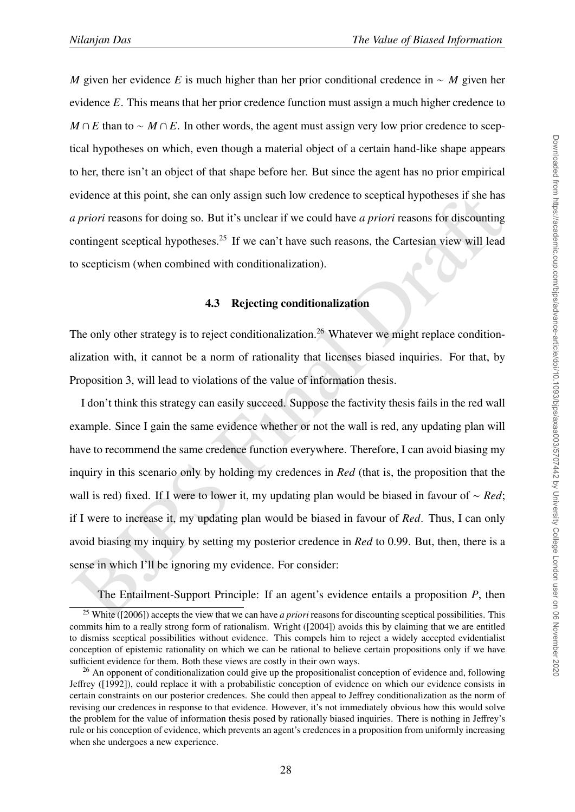*M* given her evidence *E* is much higher than her prior conditional credence in ∼ *M* given her evidence *E*. This means that her prior credence function must assign a much higher credence to *M* ∩ *E* than to ~ *M* ∩ *E*. In other words, the agent must assign very low prior credence to sceptical hypotheses on which, even though a material object of a certain hand-like shape appears to her, there isn't an object of that shape before her. But since the agent has no prior empirical evidence at this point, she can only assign such low credence to sceptical hypotheses if she has *a priori* reasons for doing so. But it's unclear if we could have *a priori* reasons for discounting contingent sceptical hypotheses.<sup>25</sup> If we can't have such reasons, the Cartesian view will lead to scepticism (when combined with conditionalization).

# 4.3 Rejecting conditionalization

The only other strategy is to reject conditionalization.<sup>26</sup> Whatever we might replace conditionalization with, it cannot be a norm of rationality that licenses biased inquiries. For that, by Proposition 3, will lead to violations of the value of information thesis.

evidence at this point, she can only assign such tow credence to sceptical hypotheses it she has<br> *priori* reasons for doing so. But it's unclear if we could have *a priori* reasons for discounting<br>
contingent sceptical h I don't think this strategy can easily succeed. Suppose the factivity thesis fails in the red wall example. Since I gain the same evidence whether or not the wall is red, any updating plan will have to recommend the same credence function everywhere. Therefore, I can avoid biasing my inquiry in this scenario only by holding my credences in *Red* (that is, the proposition that the wall is red) fixed. If I were to lower it, my updating plan would be biased in favour of ∼ *Red*; if I were to increase it, my updating plan would be biased in favour of *Red*. Thus, I can only avoid biasing my inquiry by setting my posterior credence in *Red* to 0.99. But, then, there is a sense in which I'll be ignoring my evidence. For consider:

The Entailment-Support Principle: If an agent's evidence entails a proposition *P*, then

<sup>25</sup> White ([2006]) accepts the view that we can have *a priori* reasons for discounting sceptical possibilities. This commits him to a really strong form of rationalism. Wright ([2004]) avoids this by claiming that we are entitled to dismiss sceptical possibilities without evidence. This compels him to reject a widely accepted evidentialist conception of epistemic rationality on which we can be rational to believe certain propositions only if we have sufficient evidence for them. Both these views are costly in their own ways.

 $^{26}$  An opponent of conditionalization could give up the propositionalist conception of evidence and, following Jeffrey ([1992]), could replace it with a probabilistic conception of evidence on which our evidence consists in certain constraints on our posterior credences. She could then appeal to Jeffrey conditionalization as the norm of revising our credences in response to that evidence. However, it's not immediately obvious how this would solve the problem for the value of information thesis posed by rationally biased inquiries. There is nothing in Jeffrey's rule or his conception of evidence, which prevents an agent's credences in a proposition from uniformly increasing when she undergoes a new experience.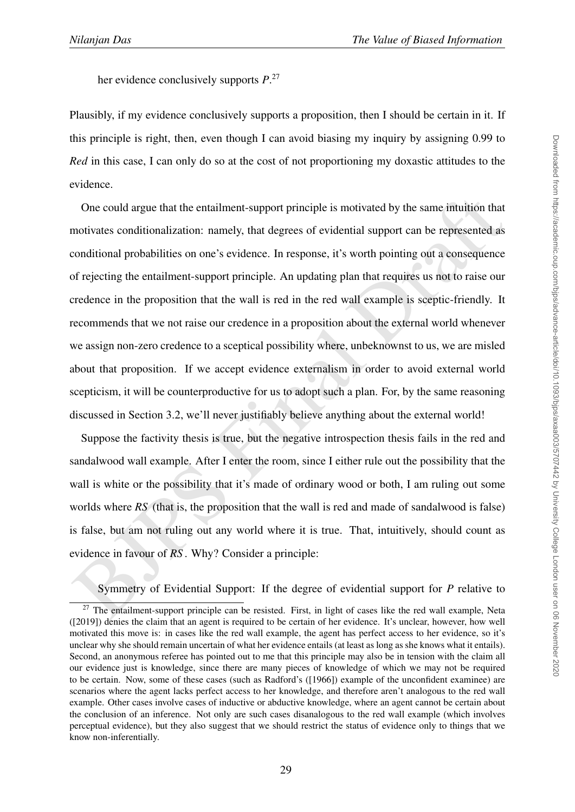her evidence conclusively supports *P*. 27

Plausibly, if my evidence conclusively supports a proposition, then I should be certain in it. If this principle is right, then, even though I can avoid biasing my inquiry by assigning 0.99 to *Red* in this case, I can only do so at the cost of not proportioning my doxastic attitudes to the evidence.

One could argue that the entailment-support principle is motivated by the same intuition that<br>motivates conditionalization: namely, that degrees of evidential support can be represented as<br>conditional probabilities on one' One could argue that the entailment-support principle is motivated by the same intuition that motivates conditionalization: namely, that degrees of evidential support can be represented as conditional probabilities on one's evidence. In response, it's worth pointing out a consequence of rejecting the entailment-support principle. An updating plan that requires us not to raise our credence in the proposition that the wall is red in the red wall example is sceptic-friendly. It recommends that we not raise our credence in a proposition about the external world whenever we assign non-zero credence to a sceptical possibility where, unbeknownst to us, we are misled about that proposition. If we accept evidence externalism in order to avoid external world scepticism, it will be counterproductive for us to adopt such a plan. For, by the same reasoning discussed in Section 3.2, we'll never justifiably believe anything about the external world!

Suppose the factivity thesis is true, but the negative introspection thesis fails in the red and sandalwood wall example. After I enter the room, since I either rule out the possibility that the wall is white or the possibility that it's made of ordinary wood or both, I am ruling out some worlds where *RS* (that is, the proposition that the wall is red and made of sandalwood is false) is false, but am not ruling out any world where it is true. That, intuitively, should count as evidence in favour of *RS* . Why? Consider a principle:

Symmetry of Evidential Support: If the degree of evidential support for *P* relative to

 $27$  The entailment-support principle can be resisted. First, in light of cases like the red wall example, Neta ([2019]) denies the claim that an agent is required to be certain of her evidence. It's unclear, however, how well motivated this move is: in cases like the red wall example, the agent has perfect access to her evidence, so it's unclear why she should remain uncertain of what her evidence entails (at least as long as she knows what it entails). Second, an anonymous referee has pointed out to me that this principle may also be in tension with the claim all our evidence just is knowledge, since there are many pieces of knowledge of which we may not be required to be certain. Now, some of these cases (such as Radford's ([1966]) example of the unconfident examinee) are scenarios where the agent lacks perfect access to her knowledge, and therefore aren't analogous to the red wall example. Other cases involve cases of inductive or abductive knowledge, where an agent cannot be certain about the conclusion of an inference. Not only are such cases disanalogous to the red wall example (which involves perceptual evidence), but they also suggest that we should restrict the status of evidence only to things that we know non-inferentially.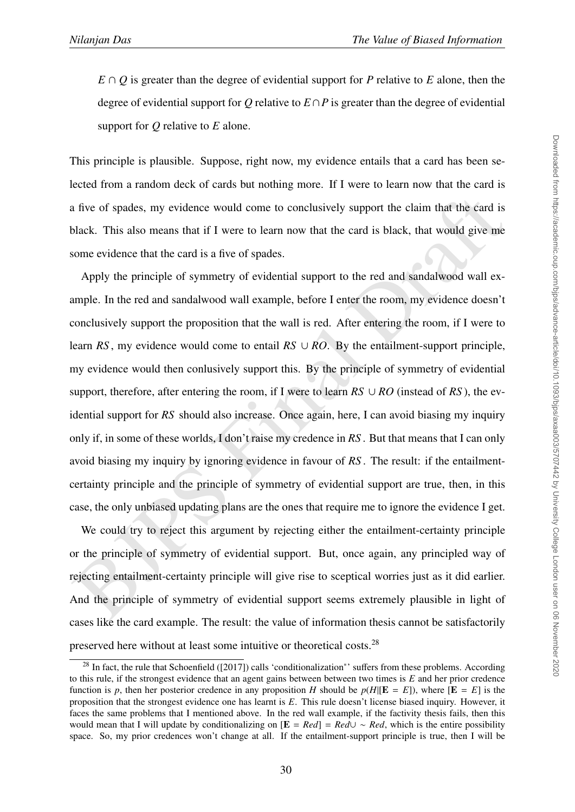*E* ∩ *Q* is greater than the degree of evidential support for *P* relative to *E* alone, then the degree of evidential support for *Q* relative to *E*∩*P* is greater than the degree of evidential support for *Q* relative to *E* alone.

This principle is plausible. Suppose, right now, my evidence entails that a card has been selected from a random deck of cards but nothing more. If I were to learn now that the card is a five of spades, my evidence would come to conclusively support the claim that the card is black. This also means that if I were to learn now that the card is black, that would give me some evidence that the card is a five of spades.

a five of spades, my evidence would come to conclusively support the claim that the card is<br>black. This also means that if I were to learn now that the card is black, that would give me<br>some evidence that the card is a fi Apply the principle of symmetry of evidential support to the red and sandalwood wall example. In the red and sandalwood wall example, before I enter the room, my evidence doesn't conclusively support the proposition that the wall is red. After entering the room, if I were to learn *RS*, my evidence would come to entail *RS* ∪ *RO*. By the entailment-support principle, my evidence would then conlusively support this. By the principle of symmetry of evidential support, therefore, after entering the room, if I were to learn  $RS \cup RO$  (instead of  $RS$ ), the evidential support for *RS* should also increase. Once again, here, I can avoid biasing my inquiry only if, in some of these worlds, I don't raise my credence in *RS* . But that means that I can only avoid biasing my inquiry by ignoring evidence in favour of *RS* . The result: if the entailmentcertainty principle and the principle of symmetry of evidential support are true, then, in this case, the only unbiased updating plans are the ones that require me to ignore the evidence I get.

We could try to reject this argument by rejecting either the entailment-certainty principle or the principle of symmetry of evidential support. But, once again, any principled way of rejecting entailment-certainty principle will give rise to sceptical worries just as it did earlier. And the principle of symmetry of evidential support seems extremely plausible in light of cases like the card example. The result: the value of information thesis cannot be satisfactorily preserved here without at least some intuitive or theoretical costs.<sup>28</sup>

<sup>&</sup>lt;sup>28</sup> In fact, the rule that Schoenfield ([2017]) calls 'conditionalization<sup>∗</sup>' suffers from these problems. According to this rule, if the strongest evidence that an agent gains between between two times is *E* and her prior credence function is p, then her posterior credence in any proposition *H* should be  $p(H||\mathbf{E} = E)$ , where  $|\mathbf{E} = E|$  is the proposition that the strongest evidence one has learnt is *E*. This rule doesn't license biased inquiry. However, it faces the same problems that I mentioned above. In the red wall example, if the factivity thesis fails, then this would mean that I will update by conditionalizing on  $[E = Red] = Red \sim Red$ , which is the entire possibility space. So, my prior credences won't change at all. If the entailment-support principle is true, then I will be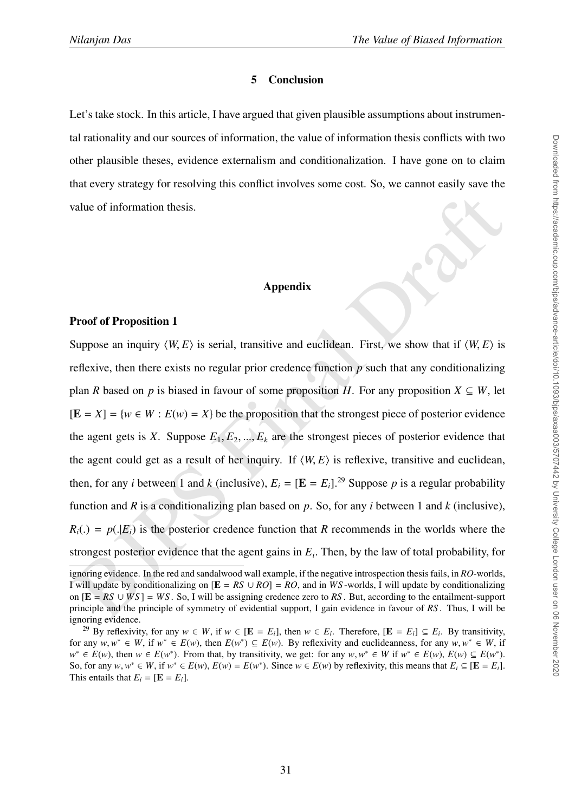# 5 Conclusion

Let's take stock. In this article, I have argued that given plausible assumptions about instrumental rationality and our sources of information, the value of information thesis conflicts with two other plausible theses, evidence externalism and conditionalization. I have gone on to claim that every strategy for resolving this conflict involves some cost. So, we cannot easily save the value of information thesis.

## Appendix

# Proof of Proposition 1

Appendix<br> **Appendix**<br> **Appendix**<br> **Proof of Proposition 1**<br> **Buppose an inquity**  $\langle W, E \rangle$  **is serial, transitive and euclidean.** First, we show that if  $\langle W, E \rangle$  is<br>
reflexive, then there exists no regular prior eredence f Suppose an inquiry  $\langle W, E \rangle$  is serial, transitive and euclidean. First, we show that if  $\langle W, E \rangle$  is reflexive, then there exists no regular prior credence function *p* such that any conditionalizing plan *R* based on *p* is biased in favour of some proposition *H*. For any proposition  $X \subseteq W$ , let  $[E = X] = \{w \in W : E(w) = X\}$  be the proposition that the strongest piece of posterior evidence the agent gets is *X*. Suppose  $E_1, E_2, ..., E_k$  are the strongest pieces of posterior evidence that the agent could get as a result of her inquiry. If  $\langle W, E \rangle$  is reflexive, transitive and euclidean, then, for any *i* between 1 and *k* (inclusive),  $E_i = [\mathbf{E} = E_i]$ .<sup>29</sup> Suppose *p* is a regular probability function and *R* is a conditionalizing plan based on *p*. So, for any *i* between 1 and *k* (inclusive),  $R_i(.) = p(.|E_i)$  is the posterior credence function that *R* recommends in the worlds where the strongest posterior evidence that the agent gains in  $E_i$ . Then, by the law of total probability, for

ignoring evidence. In the red and sandalwood wall example, if the negative introspection thesis fails, in *RO*-worlds, I will update by conditionalizing on  $[E = RS \cup RO] = RO$ , and in *WS*-worlds, I will update by conditionalizing on  $[E = RS \cup WS] = WS$ . So, I will be assigning credence zero to RS. But, according to the entailment-support principle and the principle of symmetry of evidential support, I gain evidence in favour of *RS* . Thus, I will be ignoring evidence.

<sup>&</sup>lt;sup>29</sup> By reflexivity, for any *w* ∈ *W*, if *w* ∈ [**E** =  $E_i$ ], then *w* ∈  $E_i$ . Therefore, [**E** =  $E_i$ ] ⊆  $E_i$ . By transitivity, for any *w*, *w*<sup>∗</sup> ∈ *W*, if *w*<sup>∗</sup> ∈ *E*(*w*), then *E*(*w*<sup>\*</sup>) ⊆ *E*(*w*). By reflexivity and euclideanness, for any *w*, *w*<sup>∗</sup> ∈ *W*, if  $w^* \text{ } \in F(w)$ ,  $F(w^*)$  F(*w*<sup>∗</sup>). From that by transitivity we get: for any *w*  $w^* \in E(w)$ , then  $w \in E(w^*)$ . From that, by transitivity, we get: for any  $w, w^* \in W$  if  $w^* \in E(w)$ ,  $E(w) \subseteq E(w^*)$ .<br>So, for any  $w, w^* \in W$  if  $w^* \in E(w)$ ,  $E(w) = E(w^*)$ . Since  $w \in E(w)$  by reflexivity, this means that  $E \subset \mathbb{F} = E$ So, for any  $w, w^* \in W$ , if  $w^* \in E(w)$ ,  $E(w) = E(w^*)$ . Since  $w \in E(w)$  by reflexivity, this means that  $E_i \subseteq [\mathbf{E} = E_i]$ .<br>This entails that  $E_i - [\mathbf{F} - E_i]$ This entails that  $E_i = [E = E_i]$ .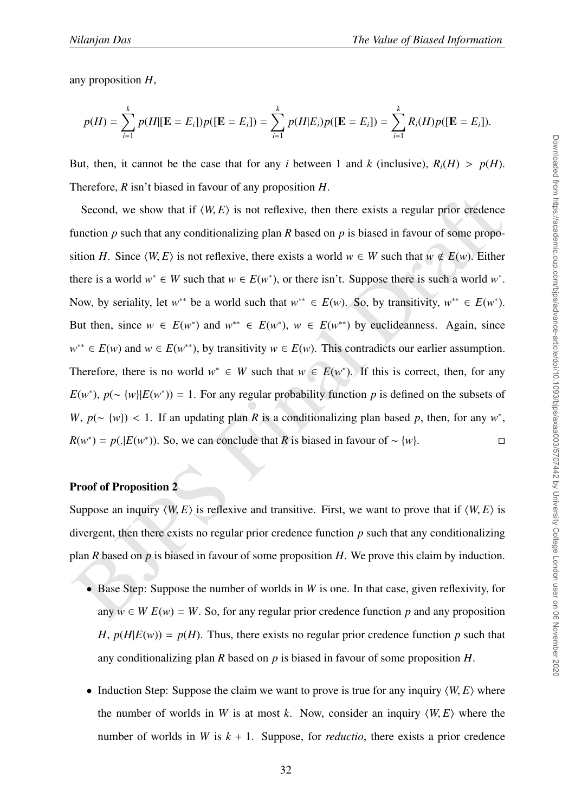any proposition *H*,

$$
p(H) = \sum_{i=1}^{k} p(H|[{\bf E} = E_i])p({[{\bf E} = E_i]}) = \sum_{i=1}^{k} p(H|E_i)p({[{\bf E} = E_i]}) = \sum_{i=1}^{k} R_i(H)p({[{\bf E} = E_i]}).
$$

But, then, it cannot be the case that for any *i* between 1 and *k* (inclusive),  $R_i(H) > p(H)$ . Therefore, *R* isn't biased in favour of any proposition *H*.

Second, we show that if  $\langle W, E \rangle$  is not reflexive, then there exists a regular prior credence<br>function p such that any conditionalizing plan R based on p is biased in favour of some propo-<br>sition H. Since  $\langle W, E \rangle$  is no Second, we show that if  $\langle W, E \rangle$  is not reflexive, then there exists a regular prior credence function *p* such that any conditionalizing plan *R* based on *p* is biased in favour of some proposition *H*. Since  $\langle W, E \rangle$  is not reflexive, there exists a world  $w \in W$  such that  $w \notin E(w)$ . Either there is a world  $w^* \in W$  such that  $w \in E(w^*)$ , or there isn't. Suppose there is such a world  $w^*$ . Now, by seriality, let  $w^{**}$  be a world such that  $w^{**} \in E(w)$ . So, by transitivity,  $w^{**} \in E(w^*)$ . But then, since  $w \in E(w^*)$  and  $w^{**} \in E(w^*)$ ,  $w \in E(w^{**})$  by euclideanness. Again, since  $w^{**} \in E(w)$  and  $w \in E(w^{**})$ , by transitivity  $w \in E(w)$ . This contradicts our earlier assumption. Therefore, there is no world  $w^* \in W$  such that  $w \in E(w^*)$ . If this is correct, then, for any  $E(w^*)$ ,  $p(\sim \{w\} | E(w^*)) = 1$ . For any regular probability function *p* is defined on the subsets of *W*,  $p(\sim \{w\}) < 1$ . If an updating plan *R* is a conditionalizing plan based *p*, then, for any *w*<sup>\*</sup>, *R*(*w*<sup>\*</sup>) = *p*(.|*E*(*w*<sup>\*</sup>)). So, we can conclude that *R* is biased in favour of ~ {*w*}. □

# Proof of Proposition 2

Suppose an inquiry  $\langle W, E \rangle$  is reflexive and transitive. First, we want to prove that if  $\langle W, E \rangle$  is divergent, then there exists no regular prior credence function *p* such that any conditionalizing plan *R* based on *p* is biased in favour of some proposition *H*. We prove this claim by induction.

- Base Step: Suppose the number of worlds in *W* is one. In that case, given reflexivity, for any  $w \in W E(w) = W$ . So, for any regular prior credence function p and any proposition *H*,  $p(H|E(w)) = p(H)$ . Thus, there exists no regular prior credence function *p* such that any conditionalizing plan *R* based on *p* is biased in favour of some proposition *H*.
- Induction Step: Suppose the claim we want to prove is true for any inquiry  $\langle W, E \rangle$  where the number of worlds in *W* is at most *k*. Now, consider an inquiry  $\langle W, E \rangle$  where the number of worlds in *W* is  $k + 1$ . Suppose, for *reductio*, there exists a prior credence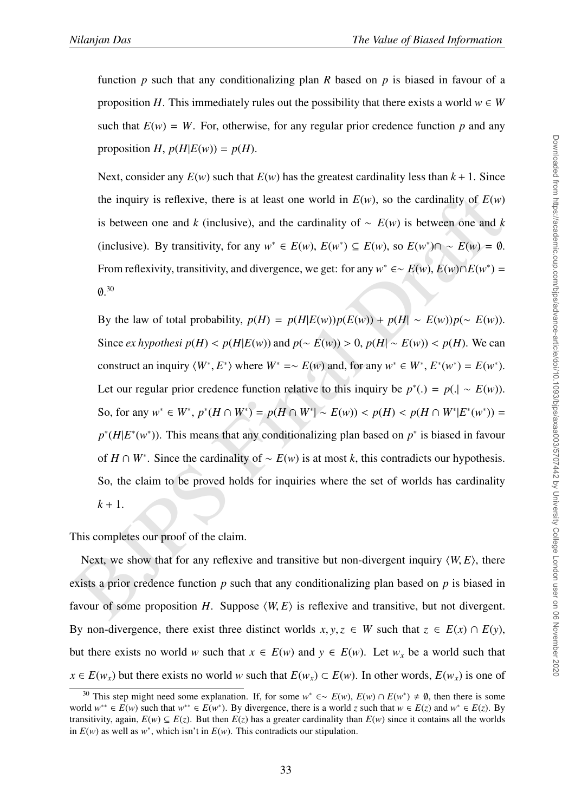function *p* such that any conditionalizing plan *R* based on *p* is biased in favour of a proposition *H*. This immediately rules out the possibility that there exists a world  $w \in W$ such that  $E(w) = W$ . For, otherwise, for any regular prior credence function p and any proposition  $H$ ,  $p(H|E(w)) = p(H)$ .

Next, consider any  $E(w)$  such that  $E(w)$  has the greatest cardinality less than  $k + 1$ . Since the inquiry is reflexive, there is at least one world in  $E(w)$ , so the cardinality of  $E(w)$ is between one and *k* (inclusive), and the cardinality of ∼ *E*(*w*) is between one and *k* (inclusive). By transitivity, for any  $w^* \in E(w)$ ,  $E(w^*) \subseteq E(w)$ , so  $E(w^*) \cap \sim E(w) = \emptyset$ . From reflexivity, transitivity, and divergence, we get: for any  $w^* \in \sim E(w)$ ,  $E(w) \cap E(w^*) =$  $\mathbf{\emptyset}.^{30}$ 

the inquiry is reflexive, there is at least one world in  $E(w)$ , so the cardinality of  $E(w)$ <br>is between one and k (inclusive), and the cardinality of ~  $E(w)$  is between one and k<br>(inclusive). By transitivity, for any  $w^* \$ By the law of total probability,  $p(H) = p(H|E(w))p(E(w)) + p(H| \sim E(w))p(\sim E(w)).$ Since *ex hypothesi*  $p(H) < p(H|E(w))$  and  $p(\sim E(w)) > 0$ ,  $p(H| \sim E(w)) < p(H)$ . We can construct an inquiry  $\langle W^*, E^* \rangle$  where  $W^* = \sim E(w)$  and, for any  $w^* \in W^*, E^*(w^*) = E(w^*)$ . Let our regular prior credence function relative to this inquiry be  $p^*(.) = p(.) \sim E(w)$ . So, for any  $w^* \in W^*$ ,  $p^*(H \cap W^*) = p(H \cap W^* | \sim E(w)) < p(H) < p(H \cap W^* | E^*(w^*)) =$  $p^*(H|E^*(w^*))$ . This means that any conditionalizing plan based on  $p^*$  is biased in favour of *H* ∩ *W*<sup>∗</sup> . Since the cardinality of ∼ *E*(*w*) is at most *k*, this contradicts our hypothesis. So, the claim to be proved holds for inquiries where the set of worlds has cardinality  $k + 1$ .

This completes our proof of the claim.

Next, we show that for any reflexive and transitive but non-divergent inquiry  $\langle W, E \rangle$ , there exists a prior credence function *p* such that any conditionalizing plan based on *p* is biased in favour of some proposition *H*. Suppose  $\langle W, E \rangle$  is reflexive and transitive, but not divergent. By non-divergence, there exist three distinct worlds  $x, y, z \in W$  such that  $z \in E(x) \cap E(y)$ , but there exists no world *w* such that  $x \in E(w)$  and  $y \in E(w)$ . Let  $w_x$  be a world such that *x* ∈ *E*(*w*<sub>*x*</sub>) but there exists no world *w* such that *E*(*w*<sub>*x*</sub>) ⊂ *E*(*w*). In other words, *E*(*w*<sub>*x*</sub>) is one of

<sup>&</sup>lt;sup>30</sup> This step might need some explanation. If, for some  $w^* \in \sim E(w)$ ,  $E(w) \cap E(w^*) \neq \emptyset$ , then there is some world  $w^{**} \in E(w)$  such that  $w^{**} \in E(w^*)$ . By divergence, there is a world *z* such that  $w \in E(z)$  and  $w^* \in E(z)$ . By transitivity, again,  $E(w) \subseteq E(z)$ . But then  $E(z)$  has a greater cardinality than  $E(w)$  since it contains all the worlds in  $E(w)$  as well as  $w^*$ , which isn't in  $E(w)$ . This contradicts our stipulation.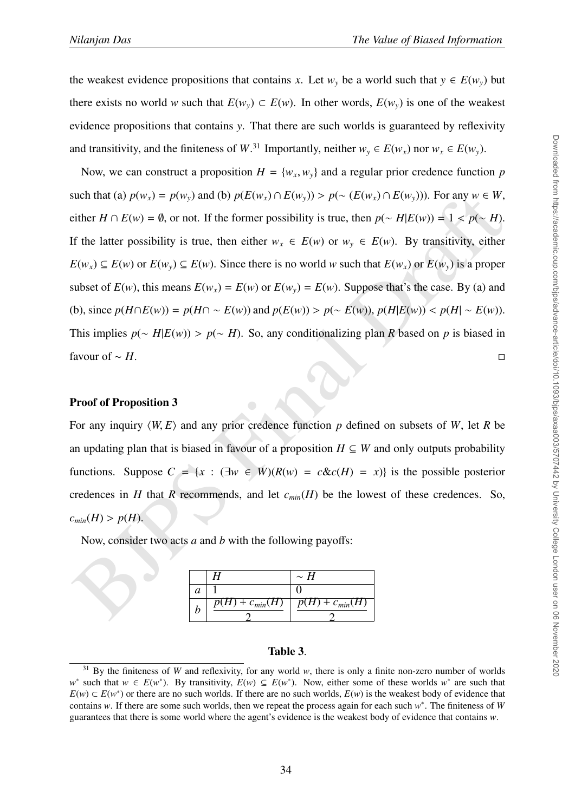the weakest evidence propositions that contains *x*. Let  $w_y$  be a world such that  $y \in E(w_y)$  but there exists no world *w* such that  $E(w_y) \subset E(w)$ . In other words,  $E(w_y)$  is one of the weakest evidence propositions that contains *y*. That there are such worlds is guaranteed by reflexivity and transitivity, and the finiteness of  $W$ .<sup>31</sup> Importantly, neither  $w_y \in E(w_x)$  nor  $w_x \in E(w_y)$ .

such that (a)  $p(w_x) = p(w_y)$  and (b)  $p(E(w_x) \cap E(w_y)) > p(\sim (E(w_x) \cap E(w_y)))$ . For any  $w \in W$ ,<br>
dither  $H \cap E(w) = \emptyset$ , or not. If the former possibility is true, then  $p(\sim H|E(w)) = 1 \le p(\sim H)$ .<br>
Hence the latter possibility is true, then eithe Now, we can construct a proposition  $H = \{w_x, w_y\}$  and a regular prior credence function *p* such that (a)  $p(w_x) = p(w_y)$  and (b)  $p(E(w_x) \cap E(w_y)) > p(\sim (E(w_x) \cap E(w_y)))$ . For any  $w \in W$ , either *H* ∩ *E*(*w*) =  $\emptyset$ , or not. If the former possibility is true, then  $p(\sim H|E(w)) = 1 \lt p(\sim H)$ . If the latter possibility is true, then either  $w_x \in E(w)$  or  $w_y \in E(w)$ . By transitivity, either *E*(*w*<sub>*x*</sub>) ⊆ *E*(*w*) or *E*(*w*<sub>*y*</sub>) ⊆ *E*(*w*). Since there is no world *w* such that *E*(*w<sub><i>x*</sub></sup>) or *E*(*w<sub>y</sub>*) is a proper subset of  $E(w)$ , this means  $E(w_x) = E(w)$  or  $E(w_y) = E(w)$ . Suppose that's the case. By (a) and (b), since  $p(H \cap E(w)) = p(H \cap \sim E(w))$  and  $p(E(w)) > p(\sim E(w))$ ,  $p(H|E(w)) < p(H| \sim E(w))$ . This implies  $p(\sim H | E(w)) > p(\sim H)$ . So, any conditionalizing plan *R* based on *p* is biased in favour of ∼ *H*.

#### Proof of Proposition 3

For any inquiry  $\langle W, E \rangle$  and any prior credence function *p* defined on subsets of *W*, let *R* be an updating plan that is biased in favour of a proposition  $H \subseteq W$  and only outputs probability functions. Suppose  $C = \{x : (\exists w \in W)(R(w) = c\&c(H) = x)\}\$ is the possible posterior credences in *H* that *R* recommends, and let  $c_{min}(H)$  be the lowest of these credences. So,  $c_{min}(H) > p(H)$ .

Now, consider two acts *a* and *b* with the following payoffs:

|                                | $\sim H$                       |
|--------------------------------|--------------------------------|
|                                |                                |
| $\overline{p(H)} + c_{min}(H)$ | $\overline{p(H)} + c_{min}(H)$ |

#### Table 3.

 $31$  By the finiteness of *W* and reflexivity, for any world *w*, there is only a finite non-zero number of worlds  $w^*$  such that  $w \in E(w^*)$ . By transitivity,  $E(w) \subseteq E(w^*)$ . Now, either some of these worlds  $w^*$  are such that  $E(w) \subset E(w^*)$  or there are no such worlds. If there are no such worlds,  $E(w)$  is the weakest body of evidence that contains *w*. If there are some such worlds, then we repeat the process again for each such *w* ∗ . The finiteness of *W* guarantees that there is some world where the agent's evidence is the weakest body of evidence that contains *w*.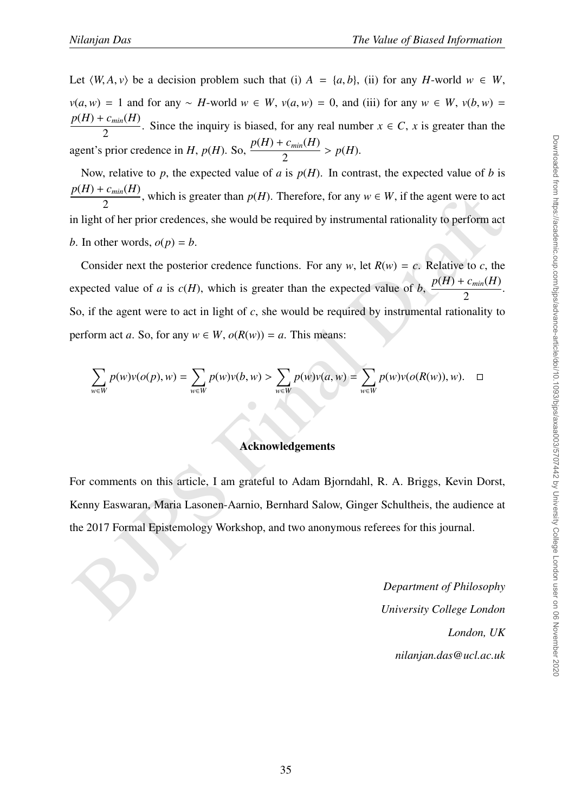Let  $\langle W, A, v \rangle$  be a decision problem such that (i)  $A = \{a, b\}$ , (ii) for any *H*-world  $w \in W$ , *v*(*a*,*w*) = 1 and for any ∼ *H*-world *w* ∈ *W*, *v*(*a*,*w*) = 0, and (iii) for any *w* ∈ *W*, *v*(*b*, *w*) =  $p(H) + c_{min}(H)$ 2 . Since the inquiry is biased, for any real number  $x \in C$ , *x* is greater than the agent's prior credence in *H*,  $p(H)$ . So,  $\frac{p(H) + c_{min}(H)}{2}$  $\frac{p_{min}(H)}{2}$  >  $p(H)$ .

Now, relative to p, the expected value of *a* is  $p(H)$ . In contrast, the expected value of *b* is  $p(H) + c_{min}(H)$ 2 , which is greater than  $p(H)$ . Therefore, for any  $w \in W$ , if the agent were to act in light of her prior credences, she would be required by instrumental rationality to perform act *b*. In other words,  $o(p) = b$ .

2<sup>2222</sup> which is greater than  $p(H)$ . Therefore, for any  $w \in W$ , if the agent were to act<br>
In light of her prior credences, she would be required by instrumental rationality to perform act<br>
5. In other words,  $o(p) = b$ .<br>
Con Consider next the posterior credence functions. For any *w*, let  $R(w) = c$ . Relative to *c*, the expected value of *a* is  $c(H)$ , which is greater than the expected value of *b*,  $\frac{p(H) + c_{min}(H)}{2}$ 2 . So, if the agent were to act in light of *c*, she would be required by instrumental rationality to perform act *a*. So, for any  $w \in W$ ,  $o(R(w)) = a$ . This means:

$$
\sum_{w \in W} p(w)v(o(p), w) = \sum_{w \in W} p(w)v(b, w) > \sum_{w \in W} p(w)v(a, w) = \sum_{w \in W} p(w)v(o(R(w)), w).
$$

## Acknowledgements

For comments on this article, I am grateful to Adam Bjorndahl, R. A. Briggs, Kevin Dorst, Kenny Easwaran, Maria Lasonen-Aarnio, Bernhard Salow, Ginger Schultheis, the audience at the 2017 Formal Epistemology Workshop, and two anonymous referees for this journal.

> *Department of Philosophy University College London London, UK nilanjan.das@ucl.ac.uk*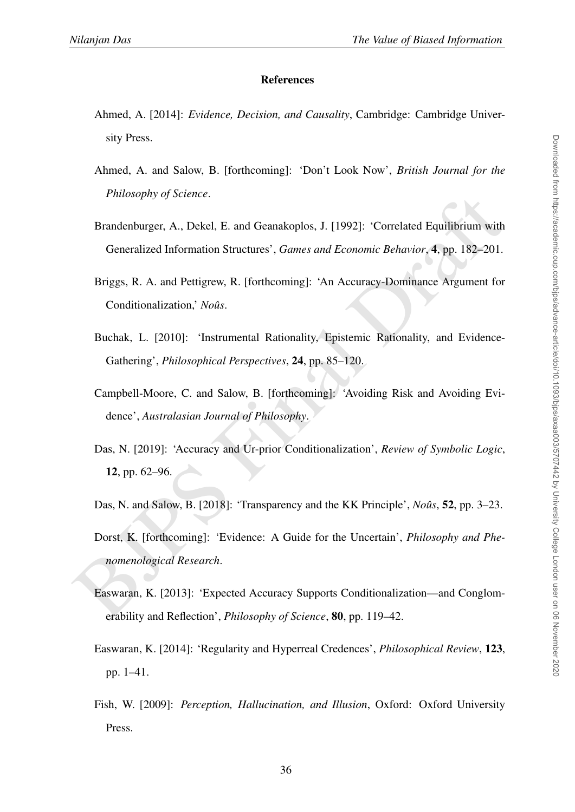## References

- Ahmed, A. [2014]: *Evidence, Decision, and Causality*, Cambridge: Cambridge University Press.
- Ahmed, A. and Salow, B. [forthcoming]: 'Don't Look Now', *British Journal for the Philosophy of Science*.
- Brandenburger, A., Dekel, E. and Geanakoplos, J. [1992]: 'Correlated Equilibrium with Generalized Information Structures', *Games and Economic Behavior*, 4, pp. 182–201.
- Briggs, R. A. and Pettigrew, R. [forthcoming]: 'An Accuracy-Dominance Argument for Conditionalization,' *Noûs*.
- Buchak, L. [2010]: 'Instrumental Rationality, Epistemic Rationality, and Evidence-Gathering', *Philosophical Perspectives*, 24, pp. 85–120.
- Campbell-Moore, C. and Salow, B. [forthcoming]: 'Avoiding Risk and Avoiding Evidence', *Australasian Journal of Philosophy*.
- Frantonipay of Stelence.<br>
Brandenburger, A., Dekel, E. and Geanakoplos, J. [1992]: 'Correlated Equilibrium with<br>
Generalized Information Structures', Games and Economic Behavior, 4, pp. 182–201.<br>
Briggs, R. A. and Pettigr Das, N. [2019]: 'Accuracy and Ur-prior Conditionalization', *Review of Symbolic Logic*, 12, pp. 62–96.
	- Das, N. and Salow, B. [2018]: 'Transparency and the KK Principle', *Noûs*, 52, pp. 3–23.
	- Dorst, K. [forthcoming]: 'Evidence: A Guide for the Uncertain', *Philosophy and Phenomenological Research*.
	- Easwaran, K. [2013]: 'Expected Accuracy Supports Conditionalization—and Conglomerability and Reflection', *Philosophy of Science*, 80, pp. 119–42.
	- Easwaran, K. [2014]: 'Regularity and Hyperreal Credences', *Philosophical Review*, 123, pp. 1–41.
	- Fish, W. [2009]: *Perception, Hallucination, and Illusion*, Oxford: Oxford University Press.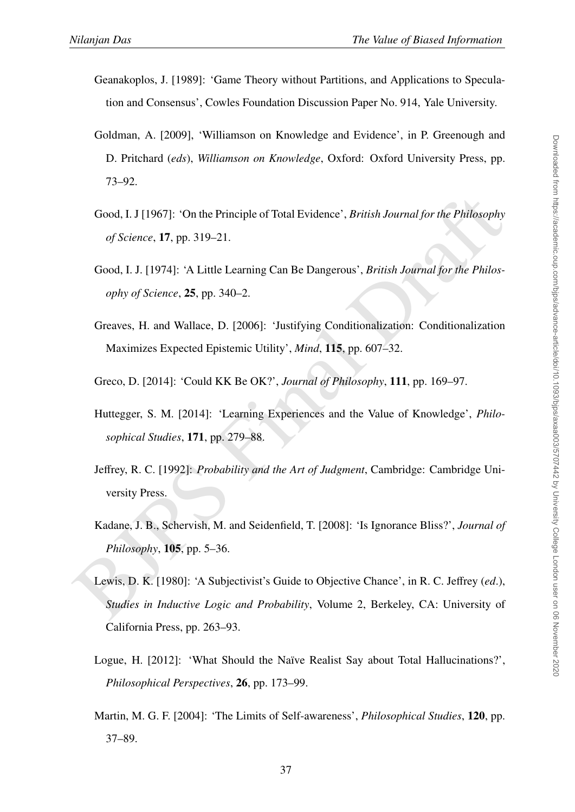- Geanakoplos, J. [1989]: 'Game Theory without Partitions, and Applications to Speculation and Consensus', Cowles Foundation Discussion Paper No. 914, Yale University.
- Goldman, A. [2009], 'Williamson on Knowledge and Evidence', in P. Greenough and D. Pritchard (*eds*), *Williamson on Knowledge*, Oxford: Oxford University Press, pp. 73–92.
- Good, I. J [1967]: 'On the Principle of Total Evidence', *British Journal for the Philosophy of Science*, 17, pp. 319–21.
- Good, I. J. [1974]: 'A Little Learning Can Be Dangerous', *British Journal for the Philosophy of Science*, 25, pp. 340–2.
- Greaves, H. and Wallace, D. [2006]: 'Justifying Conditionalization: Conditionalization Maximizes Expected Epistemic Utility', *Mind*, 115, pp. 607–32.
- Greco, D. [2014]: 'Could KK Be OK?', *Journal of Philosophy*, 111, pp. 169–97.
- Huttegger, S. M. [2014]: 'Learning Experiences and the Value of Knowledge', *Philosophical Studies*, 171, pp. 279–88.
- Jeffrey, R. C. [1992]: *Probability and the Art of Judgment*, Cambridge: Cambridge University Press.
- Kadane, J. B., Schervish, M. and Seidenfield, T. [2008]: 'Is Ignorance Bliss?', *Journal of Philosophy*, 105, pp. 5–36.
- Good, I. J [1967]: 'On the Principle of Total Evidence', *British Journal for the Philosophy*<br> *of Science*, **17**, pp. 319–21.<br>
Good, I. J. [1974]: 'A Little Learning Can Be Dangerous', *British Journal for the Philosophy* Lewis, D. K. [1980]: 'A Subjectivist's Guide to Objective Chance', in R. C. Jeffrey (*ed*.), *Studies in Inductive Logic and Probability*, Volume 2, Berkeley, CA: University of California Press, pp. 263–93.
	- Logue, H. [2012]: 'What Should the Naïve Realist Say about Total Hallucinations?', *Philosophical Perspectives*, 26, pp. 173–99.
	- Martin, M. G. F. [2004]: 'The Limits of Self-awareness', *Philosophical Studies*, 120, pp. 37–89.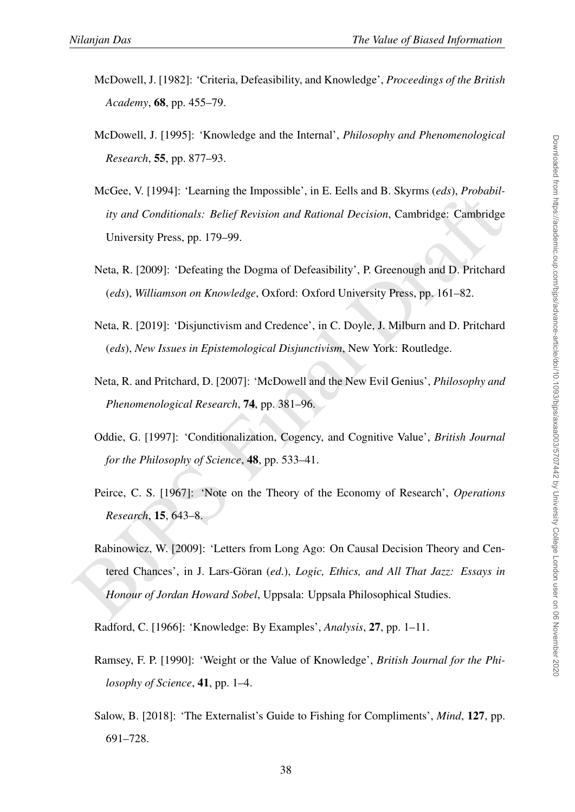- McDowell, J. [1982]: 'Criteria, Defeasibility, and Knowledge', *Proceedings of the British Academy*, 68, pp. 455–79.
- McDowell, J. [1995]: 'Knowledge and the Internal', *Philosophy and Phenomenological Research*, 55, pp. 877–93.
- McGee, V. [1994]: 'Learning the Impossible', in E. Eells and B. Skyrms (*eds*), *Probability and Conditionals: Belief Revision and Rational Decision*, Cambridge: Cambridge University Press, pp. 179–99.
- Neta, R. [2009]: 'Defeating the Dogma of Defeasibility', P. Greenough and D. Pritchard (*eds*), *Williamson on Knowledge*, Oxford: Oxford University Press, pp. 161–82.
- Neta, R. [2019]: 'Disjunctivism and Credence', in C. Doyle, J. Milburn and D. Pritchard (*eds*), *New Issues in Epistemological Disjunctivism*, New York: Routledge.
- Neta, R. and Pritchard, D. [2007]: 'McDowell and the New Evil Genius', *Philosophy and Phenomenological Research*, 74, pp. 381–96.
- Oddie, G. [1997]: 'Conditionalization, Cogency, and Cognitive Value', *British Journal for the Philosophy of Science*, 48, pp. 533–41.
- Peirce, C. S. [1967]: 'Note on the Theory of the Economy of Research', *Operations Research*, 15, 643–8.
- External Conditionals: Belief Revision and Rational Decision, Cambridge: Cambridge University Press, pp. 179–99.<br>
Neta, R. [2009]: 'Defeating the Dogma of Defeasibility', P. Greenough and D. Pritchard<br>
(eds), Williamson on Rabinowicz, W. [2009]: 'Letters from Long Ago: On Causal Decision Theory and Centered Chances', in J. Lars-Göran (*ed*.), *Logic, Ethics, and All That Jazz: Essays in Honour of Jordan Howard Sobel*, Uppsala: Uppsala Philosophical Studies.

Radford, C. [1966]: 'Knowledge: By Examples', *Analysis*, 27, pp. 1–11.

- Ramsey, F. P. [1990]: 'Weight or the Value of Knowledge', *British Journal for the Philosophy of Science*, 41, pp. 1–4.
- Salow, B. [2018]: 'The Externalist's Guide to Fishing for Compliments', *Mind*, 127, pp. 691–728.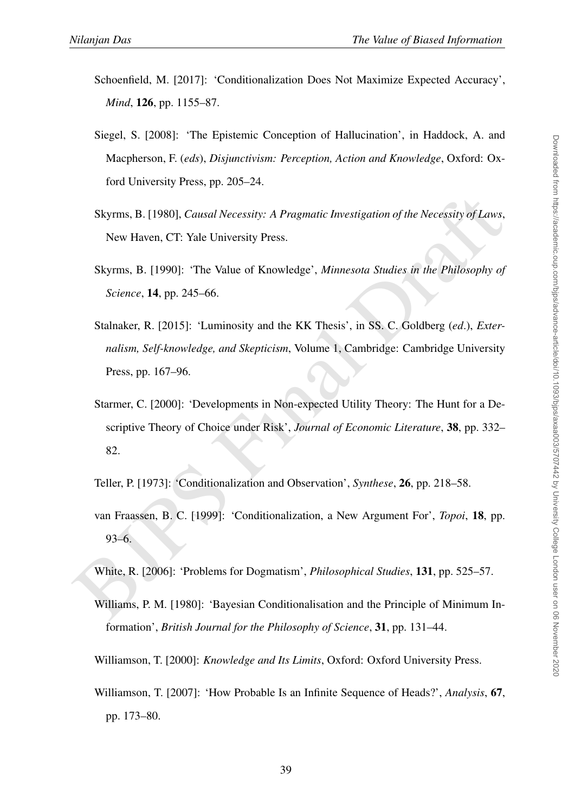- Schoenfield, M. [2017]: 'Conditionalization Does Not Maximize Expected Accuracy', *Mind*, **126**, pp. 1155–87.
- Siegel, S. [2008]: 'The Epistemic Conception of Hallucination', in Haddock, A. and Macpherson, F. (*eds*), *Disjunctivism: Perception, Action and Knowledge*, Oxford: Oxford University Press, pp. 205–24.
- Skyrms, B. [1980], *Causal Necessity: A Pragmatic Investigation of the Necessity of Laws*, New Haven, CT: Yale University Press.
- Skyrms, B. [1990]: 'The Value of Knowledge', *Minnesota Studies in the Philosophy of Science*, 14, pp. 245–66.
- Skyrms, B. [1980], *Causal Necessity: A Pragmatic Imestigation of the Necessity of Laws*,<br>New Haven, CT: Yale University Press.<br>Skyrms, B. [1990]: "The Value of Knowledge", *Minnesota Studies in the Philosophy of*<br>Science, Stalnaker, R. [2015]: 'Luminosity and the KK Thesis', in SS. C. Goldberg (*ed*.), *Externalism, Self-knowledge, and Skepticism*, Volume 1, Cambridge: Cambridge University Press, pp. 167–96.
	- Starmer, C. [2000]: 'Developments in Non-expected Utility Theory: The Hunt for a Descriptive Theory of Choice under Risk', *Journal of Economic Literature*, 38, pp. 332– 82.
	- Teller, P. [1973]: 'Conditionalization and Observation', *Synthese*, 26, pp. 218–58.
	- van Fraassen, B. C. [1999]: 'Conditionalization, a New Argument For', *Topoi*, 18, pp. 93–6.
	- White, R. [2006]: 'Problems for Dogmatism', *Philosophical Studies*, 131, pp. 525–57.
	- Williams, P. M. [1980]: 'Bayesian Conditionalisation and the Principle of Minimum Information', *British Journal for the Philosophy of Science*, 31, pp. 131–44.
	- Williamson, T. [2000]: *Knowledge and Its Limits*, Oxford: Oxford University Press.
	- Williamson, T. [2007]: 'How Probable Is an Infinite Sequence of Heads?', *Analysis*, 67, pp. 173–80.